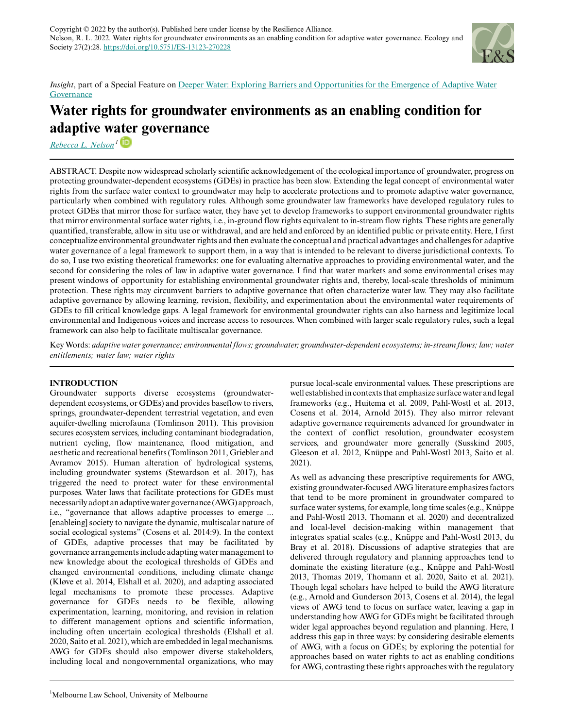

*Insight*, part of a Special Feature on [Deeper Water: Exploring Barriers and Opportunities for the Emergence of Adaptive Water](https://www.ecologyandsociety.org/viewissue.php?sf=149) **[Governance](https://www.ecologyandsociety.org/viewissue.php?sf=149)** 

# **Water rights for groundwater environments as an enabling condition for adaptive w[ater](https://orcid.org/https://orcid.org/0000-0002-7891-0296) governance**

*[Rebecca L. Nelson](mailto:rebecca.nelson@unimelb.edu.au)<sup>1</sup>*

ABSTRACT. Despite now widespread scholarly scientific acknowledgement of the ecological importance of groundwater, progress on protecting groundwater-dependent ecosystems (GDEs) in practice has been slow. Extending the legal concept of environmental water rights from the surface water context to groundwater may help to accelerate protections and to promote adaptive water governance, particularly when combined with regulatory rules. Although some groundwater law frameworks have developed regulatory rules to protect GDEs that mirror those for surface water, they have yet to develop frameworks to support environmental groundwater rights that mirror environmental surface water rights, i.e., in-ground flow rights equivalent to in-stream flow rights. These rights are generally quantified, transferable, allow in situ use or withdrawal, and are held and enforced by an identified public or private entity. Here, I first conceptualize environmental groundwater rights and then evaluate the conceptual and practical advantages and challenges for adaptive water governance of a legal framework to support them, in a way that is intended to be relevant to diverse jurisdictional contexts. To do so, I use two existing theoretical frameworks: one for evaluating alternative approaches to providing environmental water, and the second for considering the roles of law in adaptive water governance. I find that water markets and some environmental crises may present windows of opportunity for establishing environmental groundwater rights and, thereby, local-scale thresholds of minimum protection. These rights may circumvent barriers to adaptive governance that often characterize water law. They may also facilitate adaptive governance by allowing learning, revision, flexibility, and experimentation about the environmental water requirements of GDEs to fill critical knowledge gaps. A legal framework for environmental groundwater rights can also harness and legitimize local environmental and Indigenous voices and increase access to resources. When combined with larger scale regulatory rules, such a legal framework can also help to facilitate multiscalar governance.

Key Words: *adaptive water governance; environmental flows; groundwater; groundwater-dependent ecosystems; in-stream flows; law; water entitlements; water law; water rights*

# **INTRODUCTION**

Groundwater supports diverse ecosystems (groundwaterdependent ecosystems, or GDEs) and provides baseflow to rivers, springs, groundwater-dependent terrestrial vegetation, and even aquifer-dwelling microfauna (Tomlinson 2011). This provision secures ecosystem services, including contaminant biodegradation, nutrient cycling, flow maintenance, flood mitigation, and aesthetic and recreational benefits (Tomlinson 2011, Griebler and Avramov 2015). Human alteration of hydrological systems, including groundwater systems (Stewardson et al. 2017), has triggered the need to protect water for these environmental purposes. Water laws that facilitate protections for GDEs must necessarily adopt an adaptive water governance (AWG) approach, i.e., "governance that allows adaptive processes to emerge ... [enableing] society to navigate the dynamic, multiscalar nature of social ecological systems" (Cosens et al. 2014:9). In the context of GDEs, adaptive processes that may be facilitated by governance arrangements include adapting water management to new knowledge about the ecological thresholds of GDEs and changed environmental conditions, including climate change (Kløve et al. 2014, Elshall et al. 2020), and adapting associated legal mechanisms to promote these processes. Adaptive governance for GDEs needs to be flexible, allowing experimentation, learning, monitoring, and revision in relation to different management options and scientific information, including often uncertain ecological thresholds (Elshall et al. 2020, Saito et al. 2021), which are embedded in legal mechanisms. AWG for GDEs should also empower diverse stakeholders, including local and nongovernmental organizations, who may

pursue local-scale environmental values. These prescriptions are well established in contexts that emphasize surface water and legal frameworks (e.g., Huitema et al. 2009, Pahl-Wostl et al. 2013, Cosens et al. 2014, Arnold 2015). They also mirror relevant adaptive governance requirements advanced for groundwater in the context of conflict resolution, groundwater ecosystem services, and groundwater more generally (Susskind 2005, Gleeson et al. 2012, Knüppe and Pahl-Wostl 2013, Saito et al. 2021).

As well as advancing these prescriptive requirements for AWG, existing groundwater-focused AWG literature emphasizes factors that tend to be more prominent in groundwater compared to surface water systems, for example, long time scales (e.g., Knüppe and Pahl-Wostl 2013, Thomann et al. 2020) and decentralized and local-level decision-making within management that integrates spatial scales (e.g., Knüppe and Pahl-Wostl 2013, du Bray et al. 2018). Discussions of adaptive strategies that are delivered through regulatory and planning approaches tend to dominate the existing literature (e.g., Knüppe and Pahl-Wostl 2013, Thomas 2019, Thomann et al. 2020, Saito et al. 2021). Though legal scholars have helped to build the AWG literature (e.g., Arnold and Gunderson 2013, Cosens et al. 2014), the legal views of AWG tend to focus on surface water, leaving a gap in understanding how AWG for GDEs might be facilitated through wider legal approaches beyond regulation and planning. Here, I address this gap in three ways: by considering desirable elements of AWG, with a focus on GDEs; by exploring the potential for approaches based on water rights to act as enabling conditions for AWG, contrasting these rights approaches with the regulatory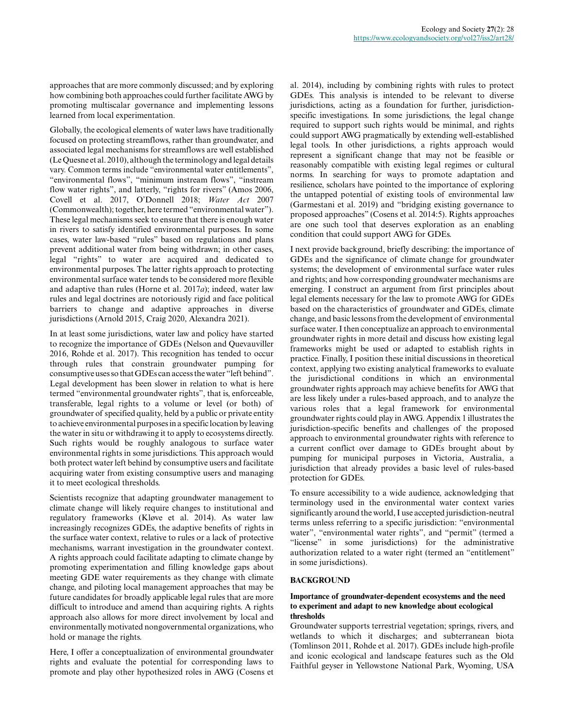approaches that are more commonly discussed; and by exploring how combining both approaches could further facilitate AWG by promoting multiscalar governance and implementing lessons learned from local experimentation.

Globally, the ecological elements of water laws have traditionally focused on protecting streamflows, rather than groundwater, and associated legal mechanisms for streamflows are well established (Le Quesne et al. 2010), although the terminology and legal details vary. Common terms include "environmental water entitlements", "environmental flows", "minimum instream flows", "instream flow water rights", and latterly, "rights for rivers" (Amos 2006, Covell et al. 2017, O'Donnell 2018; *Water Act* 2007 (Commonwealth); together, here termed "environmental water"). These legal mechanisms seek to ensure that there is enough water in rivers to satisfy identified environmental purposes. In some cases, water law-based "rules" based on regulations and plans prevent additional water from being withdrawn; in other cases, legal "rights" to water are acquired and dedicated to environmental purposes. The latter rights approach to protecting environmental surface water tends to be considered more flexible and adaptive than rules (Horne et al. 2017*a*); indeed, water law rules and legal doctrines are notoriously rigid and face political barriers to change and adaptive approaches in diverse jurisdictions (Arnold 2015, Craig 2020, Alexandra 2021).

In at least some jurisdictions, water law and policy have started to recognize the importance of GDEs (Nelson and Quevauviller 2016, Rohde et al. 2017). This recognition has tended to occur through rules that constrain groundwater pumping for consumptive uses so that GDEs can access the water "left behind". Legal development has been slower in relation to what is here termed "environmental groundwater rights", that is, enforceable, transferable, legal rights to a volume or level (or both) of groundwater of specified quality, held by a public or private entity to achieve environmental purposes in a specific location by leaving the water in situ or withdrawing it to apply to ecosystems directly. Such rights would be roughly analogous to surface water environmental rights in some jurisdictions. This approach would both protect water left behind by consumptive users and facilitate acquiring water from existing consumptive users and managing it to meet ecological thresholds.

Scientists recognize that adapting groundwater management to climate change will likely require changes to institutional and regulatory frameworks (Kløve et al. 2014). As water law increasingly recognizes GDEs, the adaptive benefits of rights in the surface water context, relative to rules or a lack of protective mechanisms, warrant investigation in the groundwater context. A rights approach could facilitate adapting to climate change by promoting experimentation and filling knowledge gaps about meeting GDE water requirements as they change with climate change, and piloting local management approaches that may be future candidates for broadly applicable legal rules that are more difficult to introduce and amend than acquiring rights. A rights approach also allows for more direct involvement by local and environmentally motivated nongovernmental organizations, who hold or manage the rights.

Here, I offer a conceptualization of environmental groundwater rights and evaluate the potential for corresponding laws to promote and play other hypothesized roles in AWG (Cosens et al. 2014), including by combining rights with rules to protect GDEs. This analysis is intended to be relevant to diverse jurisdictions, acting as a foundation for further, jurisdictionspecific investigations. In some jurisdictions, the legal change required to support such rights would be minimal, and rights could support AWG pragmatically by extending well-established legal tools. In other jurisdictions, a rights approach would represent a significant change that may not be feasible or reasonably compatible with existing legal regimes or cultural norms. In searching for ways to promote adaptation and resilience, scholars have pointed to the importance of exploring the untapped potential of existing tools of environmental law (Garmestani et al. 2019) and "bridging existing governance to proposed approaches" (Cosens et al. 2014:5). Rights approaches are one such tool that deserves exploration as an enabling condition that could support AWG for GDEs.

I next provide background, briefly describing: the importance of GDEs and the significance of climate change for groundwater systems; the development of environmental surface water rules and rights; and how corresponding groundwater mechanisms are emerging. I construct an argument from first principles about legal elements necessary for the law to promote AWG for GDEs based on the characteristics of groundwater and GDEs, climate change, and basic lessons from the development of environmental surface water. I then conceptualize an approach to environmental groundwater rights in more detail and discuss how existing legal frameworks might be used or adapted to establish rights in practice. Finally, I position these initial discussions in theoretical context, applying two existing analytical frameworks to evaluate the jurisdictional conditions in which an environmental groundwater rights approach may achieve benefits for AWG that are less likely under a rules-based approach, and to analyze the various roles that a legal framework for environmental groundwater rights could play in AWG. Appendix 1 illustrates the jurisdiction-specific benefits and challenges of the proposed approach to environmental groundwater rights with reference to a current conflict over damage to GDEs brought about by pumping for municipal purposes in Victoria, Australia, a jurisdiction that already provides a basic level of rules-based protection for GDEs.

To ensure accessibility to a wide audience, acknowledging that terminology used in the environmental water context varies significantly around the world, I use accepted jurisdiction-neutral terms unless referring to a specific jurisdiction: "environmental water", "environmental water rights", and "permit" (termed a "license" in some jurisdictions) for the administrative authorization related to a water right (termed an "entitlement" in some jurisdictions).

# **BACKGROUND**

# **Importance of groundwater-dependent ecosystems and the need to experiment and adapt to new knowledge about ecological thresholds**

Groundwater supports terrestrial vegetation; springs, rivers, and wetlands to which it discharges; and subterranean biota (Tomlinson 2011, Rohde et al. 2017). GDEs include high-profile and iconic ecological and landscape features such as the Old Faithful geyser in Yellowstone National Park, Wyoming, USA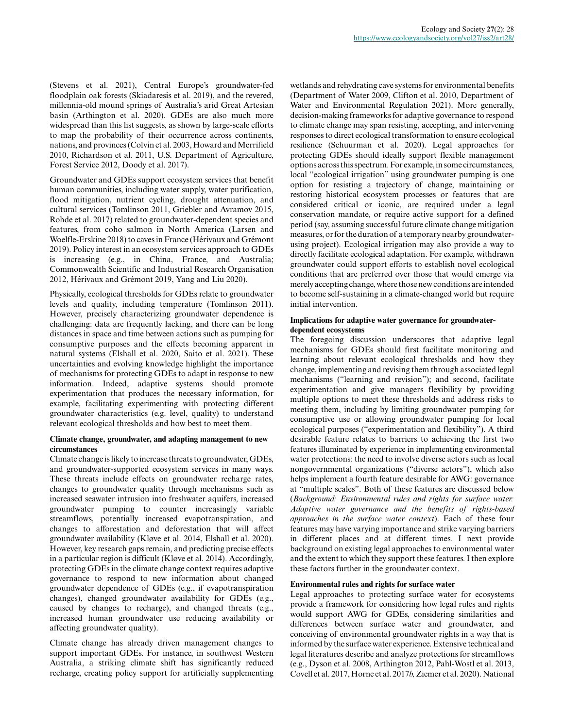(Stevens et al. 2021), Central Europe's groundwater-fed floodplain oak forests (Skiadaresis et al. 2019), and the revered, millennia-old mound springs of Australia's arid Great Artesian basin (Arthington et al. 2020). GDEs are also much more widespread than this list suggests, as shown by large-scale efforts to map the probability of their occurrence across continents, nations, and provinces (Colvin et al. 2003, Howard and Merrifield 2010, Richardson et al. 2011, U.S. Department of Agriculture, Forest Service 2012, Doody et al. 2017).

Groundwater and GDEs support ecosystem services that benefit human communities, including water supply, water purification, flood mitigation, nutrient cycling, drought attenuation, and cultural services (Tomlinson 2011, Griebler and Avramov 2015, Rohde et al. 2017) related to groundwater-dependent species and features, from coho salmon in North America (Larsen and Woelfle-Erskine 2018) to caves in France (Hérivaux and Grémont 2019). Policy interest in an ecosystem services approach to GDEs is increasing (e.g., in China, France, and Australia; Commonwealth Scientific and Industrial Research Organisation 2012, Hérivaux and Grémont 2019, Yang and Liu 2020).

Physically, ecological thresholds for GDEs relate to groundwater levels and quality, including temperature (Tomlinson 2011). However, precisely characterizing groundwater dependence is challenging: data are frequently lacking, and there can be long distances in space and time between actions such as pumping for consumptive purposes and the effects becoming apparent in natural systems (Elshall et al. 2020, Saito et al. 2021). These uncertainties and evolving knowledge highlight the importance of mechanisms for protecting GDEs to adapt in response to new information. Indeed, adaptive systems should promote experimentation that produces the necessary information, for example, facilitating experimenting with protecting different groundwater characteristics (e.g. level, quality) to understand relevant ecological thresholds and how best to meet them.

# **Climate change, groundwater, and adapting management to new circumstances**

Climate change is likely to increase threats to groundwater, GDEs, and groundwater-supported ecosystem services in many ways. These threats include effects on groundwater recharge rates, changes to groundwater quality through mechanisms such as increased seawater intrusion into freshwater aquifers, increased groundwater pumping to counter increasingly variable streamflows, potentially increased evapotranspiration, and changes to afforestation and deforestation that will affect groundwater availability (Kløve et al. 2014, Elshall et al. 2020). However, key research gaps remain, and predicting precise effects in a particular region is difficult (Kløve et al. 2014). Accordingly, protecting GDEs in the climate change context requires adaptive governance to respond to new information about changed groundwater dependence of GDEs (e.g., if evapotranspiration changes), changed groundwater availability for GDEs (e.g., caused by changes to recharge), and changed threats (e.g., increased human groundwater use reducing availability or affecting groundwater quality).

Climate change has already driven management changes to support important GDEs. For instance, in southwest Western Australia, a striking climate shift has significantly reduced recharge, creating policy support for artificially supplementing wetlands and rehydrating cave systems for environmental benefits (Department of Water 2009, Clifton et al. 2010, Department of Water and Environmental Regulation 2021). More generally, decision-making frameworks for adaptive governance to respond to climate change may span resisting, accepting, and intervening responses to direct ecological transformation to ensure ecological resilience (Schuurman et al. 2020). Legal approaches for protecting GDEs should ideally support flexible management options across this spectrum. For example, in some circumstances, local "ecological irrigation" using groundwater pumping is one option for resisting a trajectory of change, maintaining or restoring historical ecosystem processes or features that are considered critical or iconic, are required under a legal conservation mandate, or require active support for a defined period (say, assuming successful future climate change mitigation measures, or for the duration of a temporary nearby groundwaterusing project). Ecological irrigation may also provide a way to directly facilitate ecological adaptation. For example, withdrawn groundwater could support efforts to establish novel ecological conditions that are preferred over those that would emerge via merely accepting change, where those new conditions are intended to become self-sustaining in a climate-changed world but require initial intervention.

# **Implications for adaptive water governance for groundwaterdependent ecosystems**

The foregoing discussion underscores that adaptive legal mechanisms for GDEs should first facilitate monitoring and learning about relevant ecological thresholds and how they change, implementing and revising them through associated legal mechanisms ("learning and revision"); and second, facilitate experimentation and give managers flexibility by providing multiple options to meet these thresholds and address risks to meeting them, including by limiting groundwater pumping for consumptive use or allowing groundwater pumping for local ecological purposes ("experimentation and flexibility"). A third desirable feature relates to barriers to achieving the first two features illuminated by experience in implementing environmental water protections: the need to involve diverse actors such as local nongovernmental organizations ("diverse actors"), which also helps implement a fourth feature desirable for AWG: governance at "multiple scales". Both of these features are discussed below (*Background: Environmental rules and rights for surface water: Adaptive water governance and the benefits of rights-based approaches in the surface water context*). Each of these four features may have varying importance and strike varying barriers in different places and at different times. I next provide background on existing legal approaches to environmental water and the extent to which they support these features. I then explore these factors further in the groundwater context.

# **Environmental rules and rights for surface water**

Legal approaches to protecting surface water for ecosystems provide a framework for considering how legal rules and rights would support AWG for GDEs, considering similarities and differences between surface water and groundwater, and conceiving of environmental groundwater rights in a way that is informed by the surface water experience. Extensive technical and legal literatures describe and analyze protections for streamflows (e.g., Dyson et al. 2008, Arthington 2012, Pahl-Wostl et al. 2013, Covell et al. 2017, Horne et al. 2017*b,* Ziemer et al. 2020). National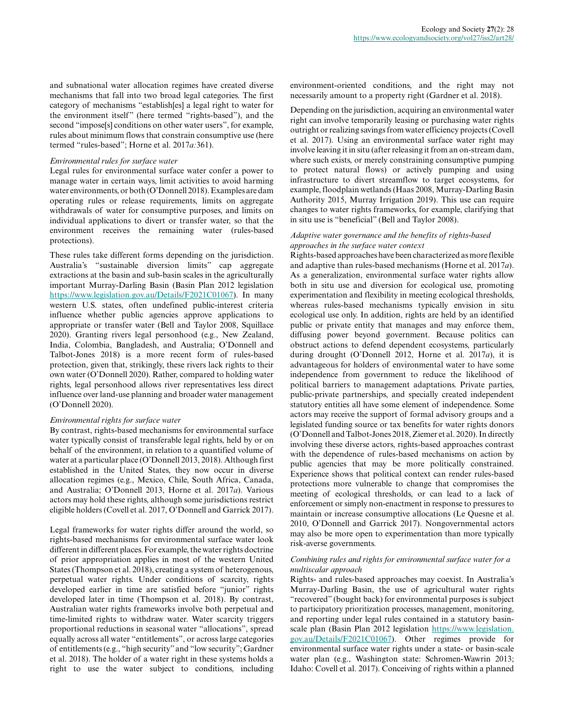and subnational water allocation regimes have created diverse mechanisms that fall into two broad legal categories. The first category of mechanisms "establish[es] a legal right to water for the environment itself" (here termed "rights-based"), and the second "impose[s] conditions on other water users", for example, rules about minimum flows that constrain consumptive use (here termed "rules-based"; Horne et al. 2017*a:*361).

#### *Environmental rules for surface water*

Legal rules for environmental surface water confer a power to manage water in certain ways, limit activities to avoid harming water environments, or both (O'Donnell 2018). Examples are dam operating rules or release requirements, limits on aggregate withdrawals of water for consumptive purposes, and limits on individual applications to divert or transfer water, so that the environment receives the remaining water (rules-based protections).

These rules take different forms depending on the jurisdiction. Australia's "sustainable diversion limits" cap aggregate extractions at the basin and sub-basin scales in the agriculturally important Murray-Darling Basin (Basin Plan 2012 legislation <https://www.legislation.gov.au/Details/F2021C01067>). In many western U.S. states, often undefined public-interest criteria influence whether public agencies approve applications to appropriate or transfer water (Bell and Taylor 2008, Squillace 2020). Granting rivers legal personhood (e.g., New Zealand, India, Colombia, Bangladesh, and Australia; O'Donnell and Talbot-Jones 2018) is a more recent form of rules-based protection, given that, strikingly, these rivers lack rights to their own water (O'Donnell 2020). Rather, compared to holding water rights, legal personhood allows river representatives less direct influence over land-use planning and broader water management (O'Donnell 2020).

#### *Environmental rights for surface water*

By contrast, rights-based mechanisms for environmental surface water typically consist of transferable legal rights, held by or on behalf of the environment, in relation to a quantified volume of water at a particular place (O'Donnell 2013, 2018). Although first established in the United States, they now occur in diverse allocation regimes (e.g., Mexico, Chile, South Africa, Canada, and Australia; O'Donnell 2013, Horne et al. 2017*a*). Various actors may hold these rights, although some jurisdictions restrict eligible holders (Covell et al. 2017, O'Donnell and Garrick 2017).

Legal frameworks for water rights differ around the world, so rights-based mechanisms for environmental surface water look different in different places. For example, the water rights doctrine of prior appropriation applies in most of the western United States (Thompson et al. 2018), creating a system of heterogenous, perpetual water rights. Under conditions of scarcity, rights developed earlier in time are satisfied before "junior" rights developed later in time (Thompson et al. 2018). By contrast, Australian water rights frameworks involve both perpetual and time-limited rights to withdraw water. Water scarcity triggers proportional reductions in seasonal water "allocations", spread equally across all water "entitlements", or across large categories of entitlements (e.g., "high security" and "low security"; Gardner et al. 2018). The holder of a water right in these systems holds a right to use the water subject to conditions, including environment-oriented conditions, and the right may not necessarily amount to a property right (Gardner et al. 2018).

Depending on the jurisdiction, acquiring an environmental water right can involve temporarily leasing or purchasing water rights outright or realizing savings from water efficiency projects (Covell et al. 2017). Using an environmental surface water right may involve leaving it in situ (after releasing it from an on-stream dam, where such exists, or merely constraining consumptive pumping to protect natural flows) or actively pumping and using infrastructure to divert streamflow to target ecosystems, for example, floodplain wetlands (Haas 2008, Murray-Darling Basin Authority 2015, Murray Irrigation 2019). This use can require changes to water rights frameworks, for example, clarifying that in situ use is "beneficial" (Bell and Taylor 2008).

# *Adaptive water governance and the benefits of rights-based approaches in the surface water context*

Rights-based approaches have been characterized as more flexible and adaptive than rules-based mechanisms (Horne et al. 2017*a*). As a generalization, environmental surface water rights allow both in situ use and diversion for ecological use, promoting experimentation and flexibility in meeting ecological thresholds, whereas rules-based mechanisms typically envision in situ ecological use only. In addition, rights are held by an identified public or private entity that manages and may enforce them, diffusing power beyond government. Because politics can obstruct actions to defend dependent ecosystems, particularly during drought (O'Donnell 2012, Horne et al. 2017*a*), it is advantageous for holders of environmental water to have some independence from government to reduce the likelihood of political barriers to management adaptations. Private parties, public-private partnerships, and specially created independent statutory entities all have some element of independence. Some actors may receive the support of formal advisory groups and a legislated funding source or tax benefits for water rights donors (O'Donnell and Talbot-Jones 2018, Ziemer et al. 2020). In directly involving these diverse actors, rights-based approaches contrast with the dependence of rules-based mechanisms on action by public agencies that may be more politically constrained. Experience shows that political context can render rules-based protections more vulnerable to change that compromises the meeting of ecological thresholds, or can lead to a lack of enforcement or simply non-enactment in response to pressures to maintain or increase consumptive allocations (Le Quesne et al. 2010, O'Donnell and Garrick 2017). Nongovernmental actors may also be more open to experimentation than more typically risk-averse governments.

#### *Combining rules and rights for environmental surface water for a multiscalar approach*

Rights- and rules-based approaches may coexist. In Australia's Murray-Darling Basin, the use of agricultural water rights "recovered" (bought back) for environmental purposes is subject to participatory prioritization processes, management, monitoring, and reporting under legal rules contained in a statutory basinscale plan (Basin Plan 2012 legislation [https://www.legislation.](https://www.legislation.gov.au/Details/F2021C01067) [gov.au/Details/F2021C01067](https://www.legislation.gov.au/Details/F2021C01067)). Other regimes provide for environmental surface water rights under a state- or basin-scale water plan (e.g., Washington state: Schromen-Wawrin 2013; Idaho: Covell et al. 2017). Conceiving of rights within a planned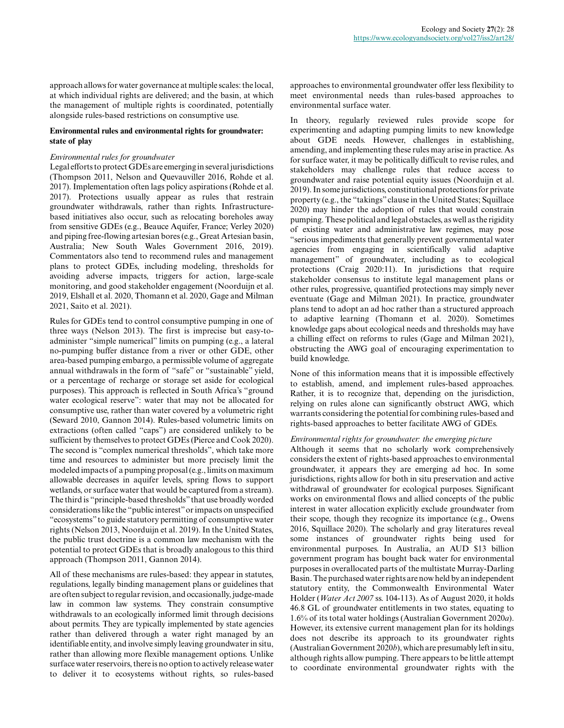approach allows for water governance at multiple scales: the local, at which individual rights are delivered; and the basin, at which the management of multiple rights is coordinated, potentially alongside rules-based restrictions on consumptive use.

### **Environmental rules and environmental rights for groundwater: state of play**

#### *Environmental rules for groundwater*

Legal efforts to protect GDEs are emerging in several jurisdictions (Thompson 2011, Nelson and Quevauviller 2016, Rohde et al. 2017). Implementation often lags policy aspirations (Rohde et al. 2017). Protections usually appear as rules that restrain groundwater withdrawals, rather than rights. Infrastructurebased initiatives also occur, such as relocating boreholes away from sensitive GDEs (e.g., Beauce Aquifer, France; Verley 2020) and piping free-flowing artesian bores (e.g., Great Artesian basin, Australia; New South Wales Government 2016, 2019). Commentators also tend to recommend rules and management plans to protect GDEs, including modeling, thresholds for avoiding adverse impacts, triggers for action, large-scale monitoring, and good stakeholder engagement (Noorduijn et al. 2019, Elshall et al. 2020, Thomann et al. 2020, Gage and Milman 2021, Saito et al. 2021).

Rules for GDEs tend to control consumptive pumping in one of three ways (Nelson 2013). The first is imprecise but easy-toadminister "simple numerical" limits on pumping (e.g., a lateral no-pumping buffer distance from a river or other GDE, other area-based pumping embargo, a permissible volume of aggregate annual withdrawals in the form of "safe" or "sustainable" yield, or a percentage of recharge or storage set aside for ecological purposes). This approach is reflected in South Africa's "ground water ecological reserve": water that may not be allocated for consumptive use, rather than water covered by a volumetric right (Seward 2010, Gannon 2014). Rules-based volumetric limits on extractions (often called "caps") are considered unlikely to be sufficient by themselves to protect GDEs (Pierce and Cook 2020). The second is "complex numerical thresholds", which take more time and resources to administer but more precisely limit the modeled impacts of a pumping proposal (e.g., limits on maximum allowable decreases in aquifer levels, spring flows to support wetlands, or surface water that would be captured from a stream). The third is "principle-based thresholds" that use broadly worded considerations like the "public interest" or impacts on unspecified "ecosystems" to guide statutory permitting of consumptive water rights (Nelson 2013, Noorduijn et al. 2019). In the United States, the public trust doctrine is a common law mechanism with the potential to protect GDEs that is broadly analogous to this third approach (Thompson 2011, Gannon 2014).

All of these mechanisms are rules-based: they appear in statutes, regulations, legally binding management plans or guidelines that are often subject to regular revision, and occasionally, judge-made law in common law systems. They constrain consumptive withdrawals to an ecologically informed limit through decisions about permits. They are typically implemented by state agencies rather than delivered through a water right managed by an identifiable entity, and involve simply leaving groundwater in situ, rather than allowing more flexible management options. Unlike surface water reservoirs, there is no option to actively release water to deliver it to ecosystems without rights, so rules-based approaches to environmental groundwater offer less flexibility to meet environmental needs than rules-based approaches to environmental surface water.

In theory, regularly reviewed rules provide scope for experimenting and adapting pumping limits to new knowledge about GDE needs. However, challenges in establishing, amending, and implementing these rules may arise in practice. As for surface water, it may be politically difficult to revise rules, and stakeholders may challenge rules that reduce access to groundwater and raise potential equity issues (Noorduijn et al. 2019). In some jurisdictions, constitutional protections for private property (e.g., the "takings" clause in the United States; Squillace 2020) may hinder the adoption of rules that would constrain pumping. These political and legal obstacles, as well as the rigidity of existing water and administrative law regimes, may pose "serious impediments that generally prevent governmental water agencies from engaging in scientifically valid adaptive management" of groundwater, including as to ecological protections (Craig 2020:11). In jurisdictions that require stakeholder consensus to institute legal management plans or other rules, progressive, quantified protections may simply never eventuate (Gage and Milman 2021). In practice, groundwater plans tend to adopt an ad hoc rather than a structured approach to adaptive learning (Thomann et al. 2020). Sometimes knowledge gaps about ecological needs and thresholds may have a chilling effect on reforms to rules (Gage and Milman 2021), obstructing the AWG goal of encouraging experimentation to build knowledge.

None of this information means that it is impossible effectively to establish, amend, and implement rules-based approaches. Rather, it is to recognize that, depending on the jurisdiction. relying on rules alone can significantly obstruct AWG, which warrants considering the potential for combining rules-based and rights-based approaches to better facilitate AWG of GDEs.

#### *Environmental rights for groundwater: the emerging picture*

Although it seems that no scholarly work comprehensively considers the extent of rights-based approaches to environmental groundwater, it appears they are emerging ad hoc. In some jurisdictions, rights allow for both in situ preservation and active withdrawal of groundwater for ecological purposes. Significant works on environmental flows and allied concepts of the public interest in water allocation explicitly exclude groundwater from their scope, though they recognize its importance (e.g., Owens 2016, Squillace 2020). The scholarly and gray literatures reveal some instances of groundwater rights being used for environmental purposes. In Australia, an AUD \$13 billion government program has bought back water for environmental purposes in overallocated parts of the multistate Murray-Darling Basin. The purchased water rights are now held by an independent statutory entity, the Commonwealth Environmental Water Holder (*Water Act 2007* ss. 104-113). As of August 2020, it holds 46.8 GL of groundwater entitlements in two states, equating to 1.6% of its total water holdings (Australian Government 2020*a*). However, its extensive current management plan for its holdings does not describe its approach to its groundwater rights (Australian Government 2020*b*), which are presumably left in situ, although rights allow pumping. There appears to be little attempt to coordinate environmental groundwater rights with the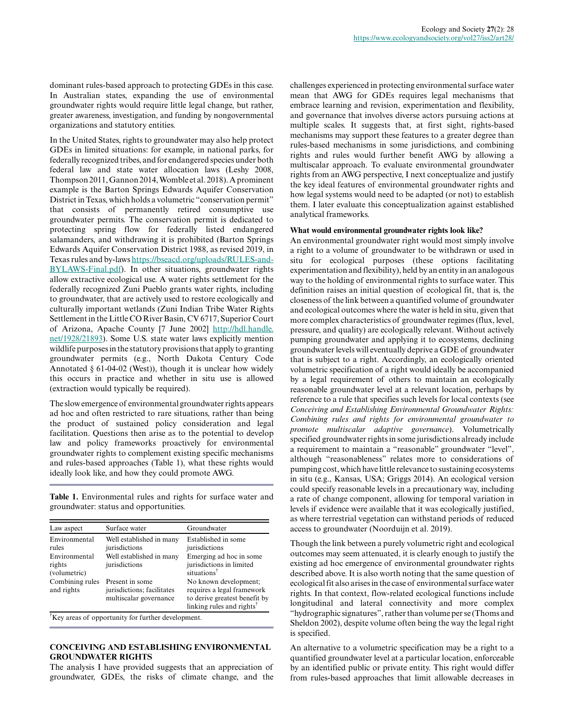dominant rules-based approach to protecting GDEs in this case. In Australian states, expanding the use of environmental groundwater rights would require little legal change, but rather, greater awareness, investigation, and funding by nongovernmental organizations and statutory entities.

In the United States, rights to groundwater may also help protect GDEs in limited situations: for example, in national parks, for federally recognized tribes, and for endangered species under both federal law and state water allocation laws (Leshy 2008, Thompson 2011, Gannon 2014, Womble et al. 2018). A prominent example is the Barton Springs Edwards Aquifer Conservation District in Texas, which holds a volumetric "conservation permit" that consists of permanently retired consumptive use groundwater permits. The conservation permit is dedicated to protecting spring flow for federally listed endangered salamanders, and withdrawing it is prohibited (Barton Springs Edwards Aquifer Conservation District 1988, as revised 2019, in Texas rules and by-laws [https://bseacd.org/uploads/RULES-and-](https://bseacd.org/uploads/RULES-and-BYLAWS-Final.pdf)[BYLAWS-Final.pdf](https://bseacd.org/uploads/RULES-and-BYLAWS-Final.pdf)). In other situations, groundwater rights allow extractive ecological use. A water rights settlement for the federally recognized Zuni Pueblo grants water rights, including to groundwater, that are actively used to restore ecologically and culturally important wetlands (Zuni Indian Tribe Water Rights Settlement in the Little CO River Basin, CV 6717, Superior Court of Arizona, Apache County [7 June 2002] [http://hdl.handle.](http://hdl.handle.net/1928/21893) [net/1928/21893](http://hdl.handle.net/1928/21893)). Some U.S. state water laws explicitly mention wildlife purposes in the statutory provisions that apply to granting groundwater permits (e.g., North Dakota Century Code Annotated § 61-04-02 (West)), though it is unclear how widely this occurs in practice and whether in situ use is allowed (extraction would typically be required).

The slow emergence of environmental groundwater rights appears ad hoc and often restricted to rare situations, rather than being the product of sustained policy consideration and legal facilitation. Questions then arise as to the potential to develop law and policy frameworks proactively for environmental groundwater rights to complement existing specific mechanisms and rules-based approaches (Table 1), what these rights would ideally look like, and how they could promote AWG.

**Table 1.** Environmental rules and rights for surface water and groundwater: status and opportunities.

| Law aspect                              | Surface water                                                           | Groundwater                                                                                                                   |
|-----------------------------------------|-------------------------------------------------------------------------|-------------------------------------------------------------------------------------------------------------------------------|
| Environmental<br>rules                  | Well established in many<br>jurisdictions                               | Established in some<br>jurisdictions                                                                                          |
| Environmental<br>rights<br>(volumetric) | Well established in many<br>jurisdictions                               | Emerging ad hoc in some<br>jurisdictions in limited<br>situations <sup>†</sup>                                                |
| Combining rules<br>and rights           | Present in some<br>jurisdictions; facilitates<br>multiscalar governance | No known development;<br>requires a legal framework<br>to derive greatest benefit by<br>linking rules and rights <sup>†</sup> |

†Key areas of opportunity for further development.

# **CONCEIVING AND ESTABLISHING ENVIRONMENTAL GROUNDWATER RIGHTS**

The analysis I have provided suggests that an appreciation of groundwater, GDEs, the risks of climate change, and the challenges experienced in protecting environmental surface water mean that AWG for GDEs requires legal mechanisms that embrace learning and revision, experimentation and flexibility, and governance that involves diverse actors pursuing actions at multiple scales. It suggests that, at first sight, rights-based mechanisms may support these features to a greater degree than rules-based mechanisms in some jurisdictions, and combining rights and rules would further benefit AWG by allowing a multiscalar approach. To evaluate environmental groundwater rights from an AWG perspective, I next conceptualize and justify the key ideal features of environmental groundwater rights and how legal systems would need to be adapted (or not) to establish them. I later evaluate this conceptualization against established analytical frameworks.

## **What would environmental groundwater rights look like?**

An environmental groundwater right would most simply involve a right to a volume of groundwater to be withdrawn or used in situ for ecological purposes (these options facilitating experimentation and flexibility), held by an entity in an analogous way to the holding of environmental rights to surface water. This definition raises an initial question of ecological fit, that is, the closeness of the link between a quantified volume of groundwater and ecological outcomes where the water is held in situ, given that more complex characteristics of groundwater regimes (flux, level, pressure, and quality) are ecologically relevant. Without actively pumping groundwater and applying it to ecosystems, declining groundwater levels will eventually deprive a GDE of groundwater that is subject to a right. Accordingly, an ecologically oriented volumetric specification of a right would ideally be accompanied by a legal requirement of others to maintain an ecologically reasonable groundwater level at a relevant location, perhaps by reference to a rule that specifies such levels for local contexts (see *Conceiving and Establishing Environmental Groundwater Rights: Combining rules and rights for environmental groundwater to promote multiscalar adaptive governance*). Volumetrically specified groundwater rights in some jurisdictions already include a requirement to maintain a "reasonable" groundwater "level", although "reasonableness" relates more to considerations of pumping cost, which have little relevance to sustaining ecosystems in situ (e.g., Kansas, USA; Griggs 2014). An ecological version could specify reasonable levels in a precautionary way, including a rate of change component, allowing for temporal variation in levels if evidence were available that it was ecologically justified, as where terrestrial vegetation can withstand periods of reduced access to groundwater (Noorduijn et al. 2019).

Though the link between a purely volumetric right and ecological outcomes may seem attenuated, it is clearly enough to justify the existing ad hoc emergence of environmental groundwater rights described above. It is also worth noting that the same question of ecological fit also arises in the case of environmental surface water rights. In that context, flow-related ecological functions include longitudinal and lateral connectivity and more complex "hydrographic signatures", rather than volume per se (Thoms and Sheldon 2002), despite volume often being the way the legal right is specified.

An alternative to a volumetric specification may be a right to a quantified groundwater level at a particular location, enforceable by an identified public or private entity. This right would differ from rules-based approaches that limit allowable decreases in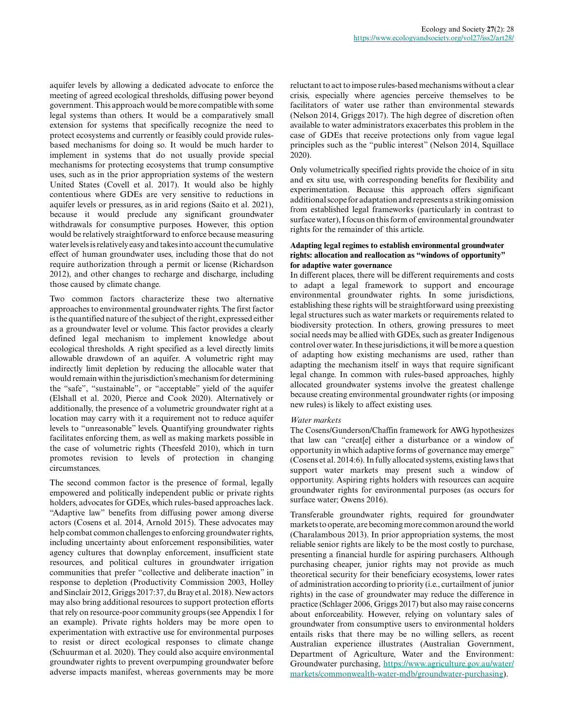aquifer levels by allowing a dedicated advocate to enforce the meeting of agreed ecological thresholds, diffusing power beyond government. This approach would be more compatible with some legal systems than others. It would be a comparatively small extension for systems that specifically recognize the need to protect ecosystems and currently or feasibly could provide rulesbased mechanisms for doing so. It would be much harder to implement in systems that do not usually provide special mechanisms for protecting ecosystems that trump consumptive uses, such as in the prior appropriation systems of the western United States (Covell et al. 2017). It would also be highly contentious where GDEs are very sensitive to reductions in aquifer levels or pressures, as in arid regions (Saito et al. 2021), because it would preclude any significant groundwater withdrawals for consumptive purposes. However, this option would be relatively straightforward to enforce because measuring water levels is relatively easy and takes into account the cumulative effect of human groundwater uses, including those that do not require authorization through a permit or license (Richardson 2012), and other changes to recharge and discharge, including those caused by climate change.

Two common factors characterize these two alternative approaches to environmental groundwater rights. The first factor is the quantified nature of the subject of the right, expressed either as a groundwater level or volume. This factor provides a clearly defined legal mechanism to implement knowledge about ecological thresholds. A right specified as a level directly limits allowable drawdown of an aquifer. A volumetric right may indirectly limit depletion by reducing the allocable water that would remain within the jurisdiction's mechanism for determining the "safe", "sustainable", or "acceptable" yield of the aquifer (Elshall et al. 2020, Pierce and Cook 2020). Alternatively or additionally, the presence of a volumetric groundwater right at a location may carry with it a requirement not to reduce aquifer levels to "unreasonable" levels. Quantifying groundwater rights facilitates enforcing them, as well as making markets possible in the case of volumetric rights (Theesfeld 2010), which in turn promotes revision to levels of protection in changing circumstances.

The second common factor is the presence of formal, legally empowered and politically independent public or private rights holders, advocates for GDEs, which rules-based approaches lack. "Adaptive law" benefits from diffusing power among diverse actors (Cosens et al. 2014, Arnold 2015). These advocates may help combat common challenges to enforcing groundwater rights, including uncertainty about enforcement responsibilities, water agency cultures that downplay enforcement, insufficient state resources, and political cultures in groundwater irrigation communities that prefer "collective and deliberate inaction" in response to depletion (Productivity Commission 2003, Holley and Sinclair 2012, Griggs 2017:37, du Bray et al. 2018). New actors may also bring additional resources to support protection efforts that rely on resource-poor community groups (see Appendix 1 for an example). Private rights holders may be more open to experimentation with extractive use for environmental purposes to resist or direct ecological responses to climate change (Schuurman et al. 2020). They could also acquire environmental groundwater rights to prevent overpumping groundwater before adverse impacts manifest, whereas governments may be more

reluctant to act to impose rules-based mechanisms without a clear crisis, especially where agencies perceive themselves to be facilitators of water use rather than environmental stewards (Nelson 2014, Griggs 2017). The high degree of discretion often available to water administrators exacerbates this problem in the case of GDEs that receive protections only from vague legal principles such as the "public interest" (Nelson 2014, Squillace 2020).

Only volumetrically specified rights provide the choice of in situ and ex situ use, with corresponding benefits for flexibility and experimentation. Because this approach offers significant additional scope for adaptation and represents a striking omission from established legal frameworks (particularly in contrast to surface water), I focus on this form of environmental groundwater rights for the remainder of this article.

## **Adapting legal regimes to establish environmental groundwater rights: allocation and reallocation as "windows of opportunity" for adaptive water governance**

In different places, there will be different requirements and costs to adapt a legal framework to support and encourage environmental groundwater rights. In some jurisdictions, establishing these rights will be straightforward using preexisting legal structures such as water markets or requirements related to biodiversity protection. In others, growing pressures to meet social needs may be allied with GDEs, such as greater Indigenous control over water. In these jurisdictions, it will be more a question of adapting how existing mechanisms are used, rather than adapting the mechanism itself in ways that require significant legal change. In common with rules-based approaches, highly allocated groundwater systems involve the greatest challenge because creating environmental groundwater rights (or imposing new rules) is likely to affect existing uses.

#### *Water markets*

The Cosens/Gunderson/Chaffin framework for AWG hypothesizes that law can "creat[e] either a disturbance or a window of opportunity in which adaptive forms of governance may emerge" (Cosens et al. 2014:6). In fully allocated systems, existing laws that support water markets may present such a window of opportunity. Aspiring rights holders with resources can acquire groundwater rights for environmental purposes (as occurs for surface water; Owens 2016).

Transferable groundwater rights, required for groundwater markets to operate, are becoming more common around the world (Charalambous 2013). In prior appropriation systems, the most reliable senior rights are likely to be the most costly to purchase, presenting a financial hurdle for aspiring purchasers. Although purchasing cheaper, junior rights may not provide as much theoretical security for their beneficiary ecosystems, lower rates of administration according to priority (i.e., curtailment of junior rights) in the case of groundwater may reduce the difference in practice (Schlager 2006, Griggs 2017) but also may raise concerns about enforceability. However, relying on voluntary sales of groundwater from consumptive users to environmental holders entails risks that there may be no willing sellers, as recent Australian experience illustrates (Australian Government, Department of Agriculture, Water and the Environment: Groundwater purchasing, [https://www.agriculture.gov.au/water/](https://www.agriculture.gov.au/water/markets/commonwealth-water-mdb/groundwater-purchasing) [markets/commonwealth-water-mdb/groundwater-purchasing](https://www.agriculture.gov.au/water/markets/commonwealth-water-mdb/groundwater-purchasing)).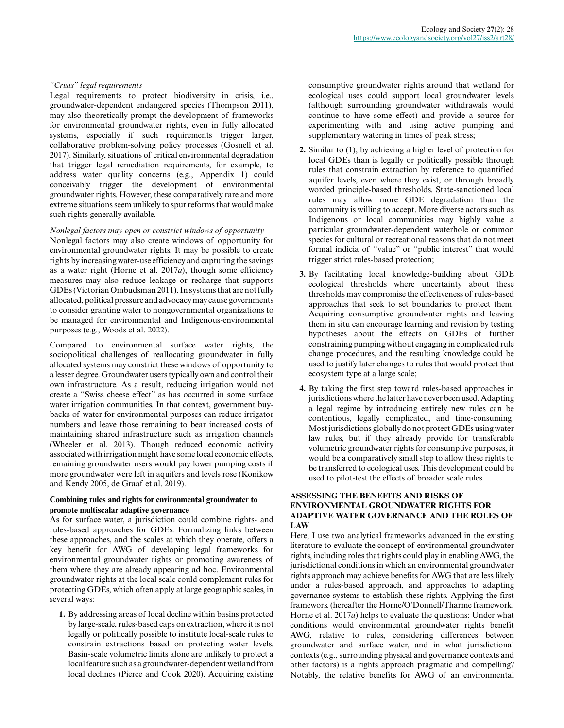# *"Crisis" legal requirements*

Legal requirements to protect biodiversity in crisis, i.e., groundwater-dependent endangered species (Thompson 2011), may also theoretically prompt the development of frameworks for environmental groundwater rights, even in fully allocated systems, especially if such requirements trigger larger, collaborative problem-solving policy processes (Gosnell et al. 2017). Similarly, situations of critical environmental degradation that trigger legal remediation requirements, for example, to address water quality concerns (e.g., Appendix 1) could conceivably trigger the development of environmental groundwater rights. However, these comparatively rare and more extreme situations seem unlikely to spur reforms that would make such rights generally available.

# *Nonlegal factors may open or constrict windows of opportunity*

Nonlegal factors may also create windows of opportunity for environmental groundwater rights. It may be possible to create rights by increasing water-use efficiency and capturing the savings as a water right (Horne et al. 2017*a*), though some efficiency measures may also reduce leakage or recharge that supports GDEs (Victorian Ombudsman 2011). In systems that are not fully allocated, political pressure and advocacy may cause governments to consider granting water to nongovernmental organizations to be managed for environmental and Indigenous-environmental purposes (e.g., Woods et al. 2022).

Compared to environmental surface water rights, the sociopolitical challenges of reallocating groundwater in fully allocated systems may constrict these windows of opportunity to a lesser degree. Groundwater users typically own and control their own infrastructure. As a result, reducing irrigation would not create a "Swiss cheese effect" as has occurred in some surface water irrigation communities. In that context, government buybacks of water for environmental purposes can reduce irrigator numbers and leave those remaining to bear increased costs of maintaining shared infrastructure such as irrigation channels (Wheeler et al. 2013). Though reduced economic activity associated with irrigation might have some local economic effects, remaining groundwater users would pay lower pumping costs if more groundwater were left in aquifers and levels rose (Konikow and Kendy 2005, de Graaf et al. 2019).

# **Combining rules and rights for environmental groundwater to promote multiscalar adaptive governance**

As for surface water, a jurisdiction could combine rights- and rules-based approaches for GDEs. Formalizing links between these approaches, and the scales at which they operate, offers a key benefit for AWG of developing legal frameworks for environmental groundwater rights or promoting awareness of them where they are already appearing ad hoc. Environmental groundwater rights at the local scale could complement rules for protecting GDEs, which often apply at large geographic scales, in several ways:

**1.** By addressing areas of local decline within basins protected by large-scale, rules-based caps on extraction, where it is not legally or politically possible to institute local-scale rules to constrain extractions based on protecting water levels. Basin-scale volumetric limits alone are unlikely to protect a local feature such as a groundwater-dependent wetland from local declines (Pierce and Cook 2020). Acquiring existing

consumptive groundwater rights around that wetland for ecological uses could support local groundwater levels (although surrounding groundwater withdrawals would continue to have some effect) and provide a source for experimenting with and using active pumping and supplementary watering in times of peak stress;

- **2.** Similar to (1), by achieving a higher level of protection for local GDEs than is legally or politically possible through rules that constrain extraction by reference to quantified aquifer levels, even where they exist, or through broadly worded principle-based thresholds. State-sanctioned local rules may allow more GDE degradation than the community is willing to accept. More diverse actors such as Indigenous or local communities may highly value a particular groundwater-dependent waterhole or common species for cultural or recreational reasons that do not meet formal indicia of "value" or "public interest" that would trigger strict rules-based protection;
- **3.** By facilitating local knowledge-building about GDE ecological thresholds where uncertainty about these thresholds may compromise the effectiveness of rules-based approaches that seek to set boundaries to protect them. Acquiring consumptive groundwater rights and leaving them in situ can encourage learning and revision by testing hypotheses about the effects on GDEs of further constraining pumping without engaging in complicated rule change procedures, and the resulting knowledge could be used to justify later changes to rules that would protect that ecosystem type at a large scale;
- **4.** By taking the first step toward rules-based approaches in jurisdictions where the latter have never been used. Adapting a legal regime by introducing entirely new rules can be contentious, legally complicated, and time-consuming. Most jurisdictions globally do not protect GDEs using water law rules, but if they already provide for transferable volumetric groundwater rights for consumptive purposes, it would be a comparatively small step to allow these rights to be transferred to ecological uses. This development could be used to pilot-test the effects of broader scale rules.

# **ASSESSING THE BENEFITS AND RISKS OF ENVIRONMENTAL GROUNDWATER RIGHTS FOR ADAPTIVE WATER GOVERNANCE AND THE ROLES OF LAW**

Here, I use two analytical frameworks advanced in the existing literature to evaluate the concept of environmental groundwater rights, including roles that rights could play in enabling AWG, the jurisdictional conditions in which an environmental groundwater rights approach may achieve benefits for AWG that are less likely under a rules-based approach, and approaches to adapting governance systems to establish these rights. Applying the first framework (hereafter the Horne/O'Donnell/Tharme framework; Horne et al. 2017*a*) helps to evaluate the questions: Under what conditions would environmental groundwater rights benefit AWG, relative to rules, considering differences between groundwater and surface water, and in what jurisdictional contexts (e.g., surrounding physical and governance contexts and other factors) is a rights approach pragmatic and compelling? Notably, the relative benefits for AWG of an environmental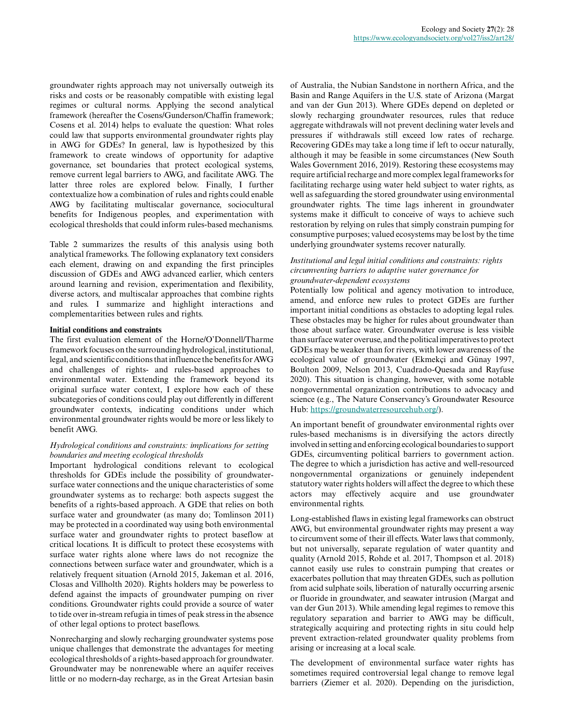groundwater rights approach may not universally outweigh its risks and costs or be reasonably compatible with existing legal regimes or cultural norms. Applying the second analytical framework (hereafter the Cosens/Gunderson/Chaffin framework; Cosens et al. 2014) helps to evaluate the question: What roles could law that supports environmental groundwater rights play in AWG for GDEs? In general, law is hypothesized by this framework to create windows of opportunity for adaptive governance, set boundaries that protect ecological systems, remove current legal barriers to AWG, and facilitate AWG. The latter three roles are explored below. Finally, I further contextualize how a combination of rules and rights could enable AWG by facilitating multiscalar governance, sociocultural benefits for Indigenous peoples, and experimentation with ecological thresholds that could inform rules-based mechanisms.

Table 2 summarizes the results of this analysis using both analytical frameworks. The following explanatory text considers each element, drawing on and expanding the first principles discussion of GDEs and AWG advanced earlier, which centers around learning and revision, experimentation and flexibility, diverse actors, and multiscalar approaches that combine rights and rules. I summarize and highlight interactions and complementarities between rules and rights.

#### **Initial conditions and constraints**

The first evaluation element of the Horne/O'Donnell/Tharme framework focuses on the surrounding hydrological, institutional, legal, and scientific conditions that influence the benefits for AWG and challenges of rights- and rules-based approaches to environmental water. Extending the framework beyond its original surface water context, I explore how each of these subcategories of conditions could play out differently in different groundwater contexts, indicating conditions under which environmental groundwater rights would be more or less likely to benefit AWG.

# *Hydrological conditions and constraints: implications for setting boundaries and meeting ecological thresholds*

Important hydrological conditions relevant to ecological thresholds for GDEs include the possibility of groundwatersurface water connections and the unique characteristics of some groundwater systems as to recharge: both aspects suggest the benefits of a rights-based approach. A GDE that relies on both surface water and groundwater (as many do; Tomlinson 2011) may be protected in a coordinated way using both environmental surface water and groundwater rights to protect baseflow at critical locations. It is difficult to protect these ecosystems with surface water rights alone where laws do not recognize the connections between surface water and groundwater, which is a relatively frequent situation (Arnold 2015, Jakeman et al. 2016, Closas and Villholth 2020). Rights holders may be powerless to defend against the impacts of groundwater pumping on river conditions. Groundwater rights could provide a source of water to tide over in-stream refugia in times of peak stress in the absence of other legal options to protect baseflows.

Nonrecharging and slowly recharging groundwater systems pose unique challenges that demonstrate the advantages for meeting ecological thresholds of a rights-based approach for groundwater. Groundwater may be nonrenewable where an aquifer receives little or no modern-day recharge, as in the Great Artesian basin

of Australia, the Nubian Sandstone in northern Africa, and the Basin and Range Aquifers in the U.S. state of Arizona (Margat and van der Gun 2013). Where GDEs depend on depleted or slowly recharging groundwater resources, rules that reduce aggregate withdrawals will not prevent declining water levels and pressures if withdrawals still exceed low rates of recharge. Recovering GDEs may take a long time if left to occur naturally, although it may be feasible in some circumstances (New South Wales Government 2016, 2019). Restoring these ecosystems may require artificial recharge and more complex legal frameworks for facilitating recharge using water held subject to water rights, as well as safeguarding the stored groundwater using environmental groundwater rights. The time lags inherent in groundwater systems make it difficult to conceive of ways to achieve such restoration by relying on rules that simply constrain pumping for consumptive purposes; valued ecosystems may be lost by the time underlying groundwater systems recover naturally.

# *Institutional and legal initial conditions and constraints: rights circumventing barriers to adaptive water governance for groundwater-dependent ecosystems*

Potentially low political and agency motivation to introduce, amend, and enforce new rules to protect GDEs are further important initial conditions as obstacles to adopting legal rules. These obstacles may be higher for rules about groundwater than those about surface water. Groundwater overuse is less visible than surface water overuse, and the political imperatives to protect GDEs may be weaker than for rivers, with lower awareness of the ecological value of groundwater (Ekmekçi and Günay 1997, Boulton 2009, Nelson 2013, Cuadrado-Quesada and Rayfuse 2020). This situation is changing, however, with some notable nongovernmental organization contributions to advocacy and science (e.g., The Nature Conservancy's Groundwater Resource Hub: [https://groundwaterresourcehub.org/\)](https://groundwaterresourcehub.org/).

An important benefit of groundwater environmental rights over rules-based mechanisms is in diversifying the actors directly involved in setting and enforcing ecological boundaries to support GDEs, circumventing political barriers to government action. The degree to which a jurisdiction has active and well-resourced nongovernmental organizations or genuinely independent statutory water rights holders will affect the degree to which these actors may effectively acquire and use groundwater environmental rights.

Long-established flaws in existing legal frameworks can obstruct AWG, but environmental groundwater rights may present a way to circumvent some of their ill effects. Water laws that commonly, but not universally, separate regulation of water quantity and quality (Arnold 2015, Rohde et al. 2017, Thompson et al. 2018) cannot easily use rules to constrain pumping that creates or exacerbates pollution that may threaten GDEs, such as pollution from acid sulphate soils, liberation of naturally occurring arsenic or fluoride in groundwater, and seawater intrusion (Margat and van der Gun 2013). While amending legal regimes to remove this regulatory separation and barrier to AWG may be difficult, strategically acquiring and protecting rights in situ could help prevent extraction-related groundwater quality problems from arising or increasing at a local scale.

The development of environmental surface water rights has sometimes required controversial legal change to remove legal barriers (Ziemer et al. 2020). Depending on the jurisdiction,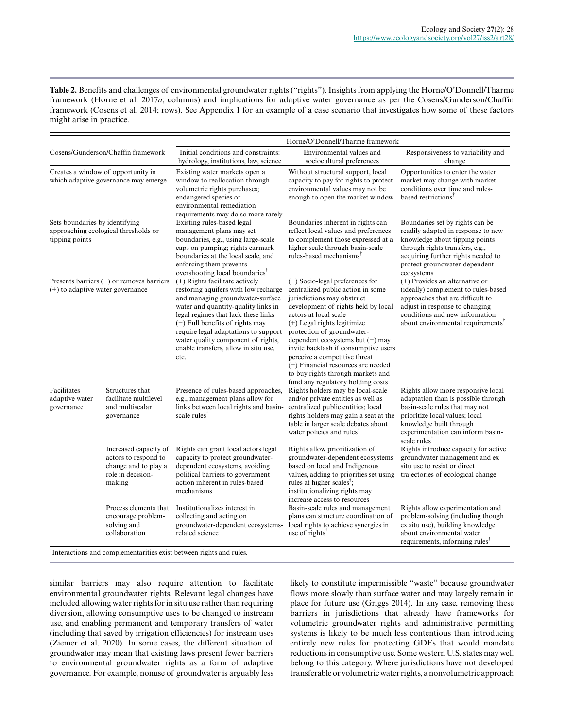**Table 2.** Benefits and challenges of environmental groundwater rights ("rights"). Insights from applying the Horne/O'Donnell/Tharme framework (Horne et al. 2017*a*; columns) and implications for adaptive water governance as per the Cosens/Gunderson/Chaffin framework (Cosens et al. 2014; rows). See Appendix 1 for an example of a case scenario that investigates how some of these factors might arise in practice.

|                                                                                          |                                                                                                      | Horne/O'Donnell/Tharme framework                                                                                                                                                                                                                                                                                                                            |                                                                                                                                                                                                                                                                                                                                                                                                                                                                    |                                                                                                                                                                                                                                           |
|------------------------------------------------------------------------------------------|------------------------------------------------------------------------------------------------------|-------------------------------------------------------------------------------------------------------------------------------------------------------------------------------------------------------------------------------------------------------------------------------------------------------------------------------------------------------------|--------------------------------------------------------------------------------------------------------------------------------------------------------------------------------------------------------------------------------------------------------------------------------------------------------------------------------------------------------------------------------------------------------------------------------------------------------------------|-------------------------------------------------------------------------------------------------------------------------------------------------------------------------------------------------------------------------------------------|
| Cosens/Gunderson/Chaffin framework                                                       |                                                                                                      | Initial conditions and constraints:<br>hydrology, institutions, law, science                                                                                                                                                                                                                                                                                | Environmental values and<br>sociocultural preferences                                                                                                                                                                                                                                                                                                                                                                                                              | Responsiveness to variability and<br>change                                                                                                                                                                                               |
| Creates a window of opportunity in<br>which adaptive governance may emerge               |                                                                                                      | Existing water markets open a<br>window to reallocation through<br>volumetric rights purchases;<br>endangered species or<br>environmental remediation<br>requirements may do so more rarely                                                                                                                                                                 | Without structural support, local<br>capacity to pay for rights to protect<br>environmental values may not be<br>enough to open the market window                                                                                                                                                                                                                                                                                                                  | Opportunities to enter the water<br>market may change with market<br>conditions over time and rules-<br>based restrictions <sup>1</sup>                                                                                                   |
| Sets boundaries by identifying<br>approaching ecological thresholds or<br>tipping points |                                                                                                      | Existing rules-based legal<br>management plans may set<br>boundaries, e.g., using large-scale<br>caps on pumping; rights earmark<br>boundaries at the local scale, and<br>enforcing them prevents<br>overshooting local boundaries <sup>†</sup>                                                                                                             | Boundaries inherent in rights can<br>reflect local values and preferences<br>to complement those expressed at a<br>higher scale through basin-scale<br>rules-based mechanisms <sup>†</sup>                                                                                                                                                                                                                                                                         | Boundaries set by rights can be<br>readily adapted in response to new<br>knowledge about tipping points<br>through rights transfers, e.g.,<br>acquiring further rights needed to<br>protect groundwater-dependent<br>ecosystems           |
| $(+)$ to adaptive water governance                                                       | Presents barriers $(-)$ or removes barriers                                                          | (+) Rights facilitate actively<br>restoring aquifers with low recharge<br>and managing groundwater-surface<br>water and quantity-quality links in<br>legal regimes that lack these links<br>$(-)$ Full benefits of rights may<br>require legal adaptations to support<br>water quality component of rights,<br>enable transfers, allow in situ use,<br>etc. | $(-)$ Socio-legal preferences for<br>centralized public action in some<br>jurisdictions may obstruct<br>development of rights held by local<br>actors at local scale<br>(+) Legal rights legitimize<br>protection of groundwater-<br>dependent ecosystems but $(-)$ may<br>invite backlash if consumptive users<br>perceive a competitive threat<br>$(-)$ Financial resources are needed<br>to buy rights through markets and<br>fund any regulatory holding costs | (+) Provides an alternative or<br>(ideally) complement to rules-based<br>approaches that are difficult to<br>adjust in response to changing<br>conditions and new information<br>about environmental requirements <sup>†</sup>            |
| Facilitates<br>adaptive water<br>governance                                              | Structures that<br>facilitate multilevel<br>and multiscalar<br>governance                            | Presence of rules-based approaches,<br>e.g., management plans allow for<br>links between local rights and basin-<br>scale rules <sup>†</sup>                                                                                                                                                                                                                | Rights holders may be local-scale<br>and/or private entities as well as<br>centralized public entities; local<br>rights holders may gain a seat at the<br>table in larger scale debates about<br>water policies and rules <sup>1</sup>                                                                                                                                                                                                                             | Rights allow more responsive local<br>adaptation than is possible through<br>basin-scale rules that may not<br>prioritize local values; local<br>knowledge built through<br>experimentation can inform basin-<br>scale rules <sup>†</sup> |
|                                                                                          | Increased capacity of<br>actors to respond to<br>change and to play a<br>role in decision-<br>making | Rights can grant local actors legal<br>capacity to protect groundwater-<br>dependent ecosystems, avoiding<br>political barriers to government<br>action inherent in rules-based<br>mechanisms                                                                                                                                                               | Rights allow prioritization of<br>groundwater-dependent ecosystems<br>based on local and Indigenous<br>values, adding to priorities set using<br>rules at higher scales <sup>†</sup> ;<br>institutionalizing rights may<br>increase access to resources                                                                                                                                                                                                            | Rights introduce capacity for active<br>groundwater management and ex<br>situ use to resist or direct<br>trajectories of ecological change                                                                                                |
|                                                                                          | Process elements that<br>encourage problem-<br>solving and<br>collaboration<br>$\cdot$ . $\cdot$     | Institutionalizes interest in<br>collecting and acting on<br>groundwater-dependent ecosystems-<br>related science<br>$\sim$ $\sim$ $\sim$ $\sim$<br>$\sim$ $\sim$ $\sim$                                                                                                                                                                                    | Basin-scale rules and management<br>plans can structure coordination of<br>local rights to achieve synergies in<br>use of rights <sup>1</sup>                                                                                                                                                                                                                                                                                                                      | Rights allow experimentation and<br>problem-solving (including though<br>ex situ use), building knowledge<br>about environmental water<br>requirements, informing rules <sup>1</sup>                                                      |

† Interactions and complementarities exist between rights and rules.

similar barriers may also require attention to facilitate environmental groundwater rights. Relevant legal changes have included allowing water rights for in situ use rather than requiring diversion, allowing consumptive uses to be changed to instream use, and enabling permanent and temporary transfers of water (including that saved by irrigation efficiencies) for instream uses (Ziemer et al. 2020). In some cases, the different situation of groundwater may mean that existing laws present fewer barriers to environmental groundwater rights as a form of adaptive governance. For example, nonuse of groundwater is arguably less

likely to constitute impermissible "waste" because groundwater flows more slowly than surface water and may largely remain in place for future use (Griggs 2014). In any case, removing these barriers in jurisdictions that already have frameworks for volumetric groundwater rights and administrative permitting systems is likely to be much less contentious than introducing entirely new rules for protecting GDEs that would mandate reductions in consumptive use. Some western U.S. states may well belong to this category. Where jurisdictions have not developed transferable or volumetric water rights, a nonvolumetric approach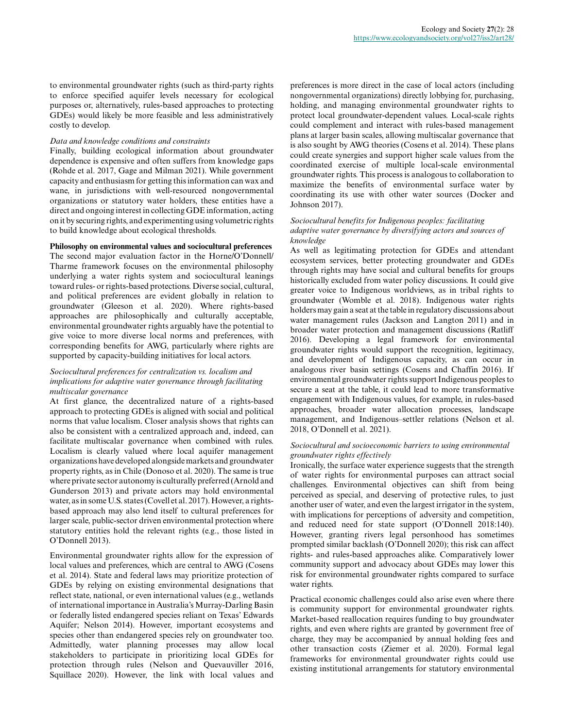to environmental groundwater rights (such as third-party rights to enforce specified aquifer levels necessary for ecological purposes or, alternatively, rules-based approaches to protecting GDEs) would likely be more feasible and less administratively costly to develop.

#### *Data and knowledge conditions and constraints*

Finally, building ecological information about groundwater dependence is expensive and often suffers from knowledge gaps (Rohde et al. 2017, Gage and Milman 2021). While government capacity and enthusiasm for getting this information can wax and wane, in jurisdictions with well-resourced nongovernmental organizations or statutory water holders, these entities have a direct and ongoing interest in collecting GDE information, acting on it by securing rights, and experimenting using volumetric rights to build knowledge about ecological thresholds.

#### **Philosophy on environmental values and sociocultural preferences**

The second major evaluation factor in the Horne/O'Donnell/ Tharme framework focuses on the environmental philosophy underlying a water rights system and sociocultural leanings toward rules- or rights-based protections. Diverse social, cultural, and political preferences are evident globally in relation to groundwater (Gleeson et al. 2020). Where rights-based approaches are philosophically and culturally acceptable, environmental groundwater rights arguably have the potential to give voice to more diverse local norms and preferences, with corresponding benefits for AWG, particularly where rights are supported by capacity-building initiatives for local actors.

# *Sociocultural preferences for centralization vs. localism and implications for adaptive water governance through facilitating multiscalar governance*

At first glance, the decentralized nature of a rights-based approach to protecting GDEs is aligned with social and political norms that value localism. Closer analysis shows that rights can also be consistent with a centralized approach and, indeed, can facilitate multiscalar governance when combined with rules. Localism is clearly valued where local aquifer management organizations have developed alongside markets and groundwater property rights, as in Chile (Donoso et al. 2020). The same is true where private sector autonomy is culturally preferred (Arnold and Gunderson 2013) and private actors may hold environmental water, as in some U.S. states (Covell et al. 2017). However, a rightsbased approach may also lend itself to cultural preferences for larger scale, public-sector driven environmental protection where statutory entities hold the relevant rights (e.g., those listed in O'Donnell 2013).

Environmental groundwater rights allow for the expression of local values and preferences, which are central to AWG (Cosens et al. 2014). State and federal laws may prioritize protection of GDEs by relying on existing environmental designations that reflect state, national, or even international values (e.g., wetlands of international importance in Australia's Murray-Darling Basin or federally listed endangered species reliant on Texas' Edwards Aquifer; Nelson 2014). However, important ecosystems and species other than endangered species rely on groundwater too. Admittedly, water planning processes may allow local stakeholders to participate in prioritizing local GDEs for protection through rules (Nelson and Quevauviller 2016, Squillace 2020). However, the link with local values and

preferences is more direct in the case of local actors (including nongovernmental organizations) directly lobbying for, purchasing, holding, and managing environmental groundwater rights to protect local groundwater-dependent values. Local-scale rights could complement and interact with rules-based management plans at larger basin scales, allowing multiscalar governance that is also sought by AWG theories (Cosens et al. 2014). These plans could create synergies and support higher scale values from the coordinated exercise of multiple local-scale environmental groundwater rights. This process is analogous to collaboration to maximize the benefits of environmental surface water by coordinating its use with other water sources (Docker and Johnson 2017).

# *Sociocultural benefits for Indigenous peoples: facilitating adaptive water governance by diversifying actors and sources of knowledge*

As well as legitimating protection for GDEs and attendant ecosystem services, better protecting groundwater and GDEs through rights may have social and cultural benefits for groups historically excluded from water policy discussions. It could give greater voice to Indigenous worldviews, as in tribal rights to groundwater (Womble et al. 2018). Indigenous water rights holders may gain a seat at the table in regulatory discussions about water management rules (Jackson and Langton 2011) and in broader water protection and management discussions (Ratliff 2016). Developing a legal framework for environmental groundwater rights would support the recognition, legitimacy, and development of Indigenous capacity, as can occur in analogous river basin settings (Cosens and Chaffin 2016). If environmental groundwater rights support Indigenous peoples to secure a seat at the table, it could lead to more transformative engagement with Indigenous values, for example, in rules-based approaches, broader water allocation processes, landscape management, and Indigenous–settler relations (Nelson et al. 2018, O'Donnell et al. 2021).

# *Sociocultural and socioeconomic barriers to using environmental groundwater rights effectively*

Ironically, the surface water experience suggests that the strength of water rights for environmental purposes can attract social challenges. Environmental objectives can shift from being perceived as special, and deserving of protective rules, to just another user of water, and even the largest irrigator in the system, with implications for perceptions of adversity and competition, and reduced need for state support (O'Donnell 2018:140). However, granting rivers legal personhood has sometimes prompted similar backlash (O'Donnell 2020); this risk can affect rights- and rules-based approaches alike. Comparatively lower community support and advocacy about GDEs may lower this risk for environmental groundwater rights compared to surface water rights.

Practical economic challenges could also arise even where there is community support for environmental groundwater rights. Market-based reallocation requires funding to buy groundwater rights, and even where rights are granted by government free of charge, they may be accompanied by annual holding fees and other transaction costs (Ziemer et al. 2020). Formal legal frameworks for environmental groundwater rights could use existing institutional arrangements for statutory environmental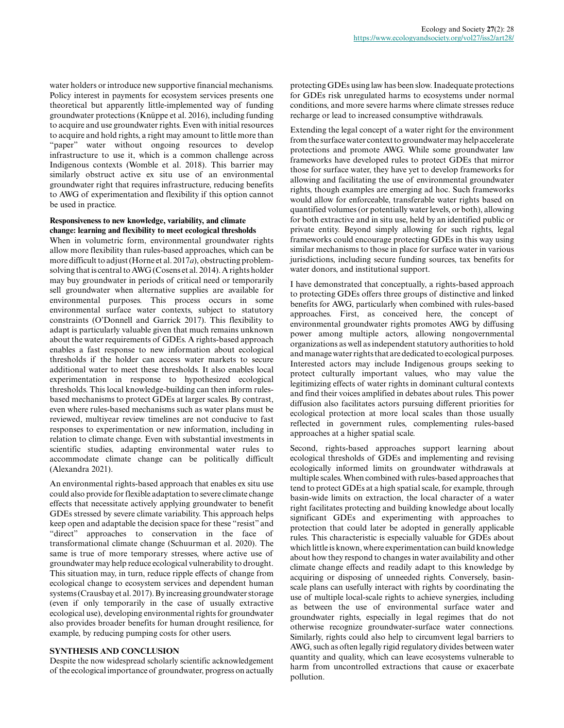water holders or introduce new supportive financial mechanisms. Policy interest in payments for ecosystem services presents one theoretical but apparently little-implemented way of funding groundwater protections (Knüppe et al. 2016), including funding to acquire and use groundwater rights. Even with initial resources to acquire and hold rights, a right may amount to little more than "paper" water without ongoing resources to develop infrastructure to use it, which is a common challenge across Indigenous contexts (Womble et al. 2018). This barrier may similarly obstruct active ex situ use of an environmental groundwater right that requires infrastructure, reducing benefits to AWG of experimentation and flexibility if this option cannot be used in practice.

# **Responsiveness to new knowledge, variability, and climate change: learning and flexibility to meet ecological thresholds**

When in volumetric form, environmental groundwater rights allow more flexibility than rules-based approaches, which can be more difficult to adjust (Horne et al. 2017*a*), obstructing problemsolving that is central to AWG (Cosens et al. 2014). A rights holder may buy groundwater in periods of critical need or temporarily sell groundwater when alternative supplies are available for environmental purposes. This process occurs in some environmental surface water contexts, subject to statutory constraints (O'Donnell and Garrick 2017). This flexibility to adapt is particularly valuable given that much remains unknown about the water requirements of GDEs. A rights-based approach enables a fast response to new information about ecological thresholds if the holder can access water markets to secure additional water to meet these thresholds. It also enables local experimentation in response to hypothesized ecological thresholds. This local knowledge-building can then inform rulesbased mechanisms to protect GDEs at larger scales. By contrast, even where rules-based mechanisms such as water plans must be reviewed, multiyear review timelines are not conducive to fast responses to experimentation or new information, including in relation to climate change. Even with substantial investments in scientific studies, adapting environmental water rules to accommodate climate change can be politically difficult (Alexandra 2021).

An environmental rights-based approach that enables ex situ use could also provide for flexible adaptation to severe climate change effects that necessitate actively applying groundwater to benefit GDEs stressed by severe climate variability. This approach helps keep open and adaptable the decision space for these "resist" and "direct" approaches to conservation in the face of transformational climate change (Schuurman et al. 2020). The same is true of more temporary stresses, where active use of groundwater may help reduce ecological vulnerability to drought. This situation may, in turn, reduce ripple effects of change from ecological change to ecosystem services and dependent human systems (Crausbay et al. 2017). By increasing groundwater storage (even if only temporarily in the case of usually extractive ecological use), developing environmental rights for groundwater also provides broader benefits for human drought resilience, for example, by reducing pumping costs for other users.

# **SYNTHESIS AND CONCLUSION**

Despite the now widespread scholarly scientific acknowledgement of the ecological importance of groundwater, progress on actually

protecting GDEs using law has been slow. Inadequate protections for GDEs risk unregulated harms to ecosystems under normal conditions, and more severe harms where climate stresses reduce recharge or lead to increased consumptive withdrawals.

Extending the legal concept of a water right for the environment from the surface water context to groundwater may help accelerate protections and promote AWG. While some groundwater law frameworks have developed rules to protect GDEs that mirror those for surface water, they have yet to develop frameworks for allowing and facilitating the use of environmental groundwater rights, though examples are emerging ad hoc. Such frameworks would allow for enforceable, transferable water rights based on quantified volumes (or potentially water levels, or both), allowing for both extractive and in situ use, held by an identified public or private entity. Beyond simply allowing for such rights, legal frameworks could encourage protecting GDEs in this way using similar mechanisms to those in place for surface water in various jurisdictions, including secure funding sources, tax benefits for water donors, and institutional support.

I have demonstrated that conceptually, a rights-based approach to protecting GDEs offers three groups of distinctive and linked benefits for AWG, particularly when combined with rules-based approaches. First, as conceived here, the concept of environmental groundwater rights promotes AWG by diffusing power among multiple actors, allowing nongovernmental organizations as well as independent statutory authorities to hold and manage water rights that are dedicated to ecological purposes. Interested actors may include Indigenous groups seeking to protect culturally important values, who may value the legitimizing effects of water rights in dominant cultural contexts and find their voices amplified in debates about rules. This power diffusion also facilitates actors pursuing different priorities for ecological protection at more local scales than those usually reflected in government rules, complementing rules-based approaches at a higher spatial scale.

Second, rights-based approaches support learning about ecological thresholds of GDEs and implementing and revising ecologically informed limits on groundwater withdrawals at multiple scales. When combined with rules-based approaches that tend to protect GDEs at a high spatial scale, for example, through basin-wide limits on extraction, the local character of a water right facilitates protecting and building knowledge about locally significant GDEs and experimenting with approaches to protection that could later be adopted in generally applicable rules. This characteristic is especially valuable for GDEs about which little is known, where experimentation can build knowledge about how they respond to changes in water availability and other climate change effects and readily adapt to this knowledge by acquiring or disposing of unneeded rights. Conversely, basinscale plans can usefully interact with rights by coordinating the use of multiple local-scale rights to achieve synergies, including as between the use of environmental surface water and groundwater rights, especially in legal regimes that do not otherwise recognize groundwater-surface water connections. Similarly, rights could also help to circumvent legal barriers to AWG, such as often legally rigid regulatory divides between water quantity and quality, which can leave ecosystems vulnerable to harm from uncontrolled extractions that cause or exacerbate pollution.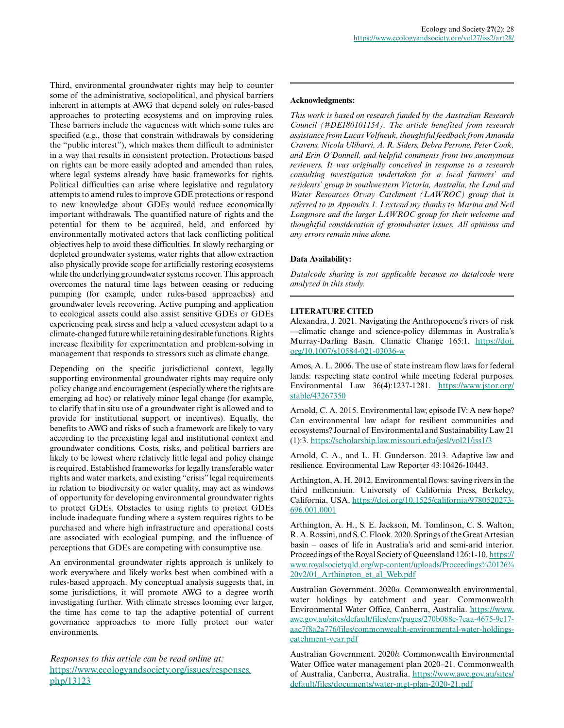Third, environmental groundwater rights may help to counter some of the administrative, sociopolitical, and physical barriers inherent in attempts at AWG that depend solely on rules-based approaches to protecting ecosystems and on improving rules. These barriers include the vagueness with which some rules are specified (e.g., those that constrain withdrawals by considering the "public interest"), which makes them difficult to administer in a way that results in consistent protection. Protections based on rights can be more easily adopted and amended than rules, where legal systems already have basic frameworks for rights. Political difficulties can arise where legislative and regulatory attempts to amend rules to improve GDE protections or respond to new knowledge about GDEs would reduce economically important withdrawals. The quantified nature of rights and the potential for them to be acquired, held, and enforced by environmentally motivated actors that lack conflicting political objectives help to avoid these difficulties. In slowly recharging or depleted groundwater systems, water rights that allow extraction also physically provide scope for artificially restoring ecosystems while the underlying groundwater systems recover. This approach overcomes the natural time lags between ceasing or reducing pumping (for example, under rules-based approaches) and groundwater levels recovering. Active pumping and application to ecological assets could also assist sensitive GDEs or GDEs experiencing peak stress and help a valued ecosystem adapt to a climate-changed future while retaining desirable functions. Rights increase flexibility for experimentation and problem-solving in

Depending on the specific jurisdictional context, legally supporting environmental groundwater rights may require only policy change and encouragement (especially where the rights are emerging ad hoc) or relatively minor legal change (for example, to clarify that in situ use of a groundwater right is allowed and to provide for institutional support or incentives). Equally, the benefits to AWG and risks of such a framework are likely to vary according to the preexisting legal and institutional context and groundwater conditions. Costs, risks, and political barriers are likely to be lowest where relatively little legal and policy change is required. Established frameworks for legally transferable water rights and water markets, and existing "crisis" legal requirements in relation to biodiversity or water quality, may act as windows of opportunity for developing environmental groundwater rights to protect GDEs. Obstacles to using rights to protect GDEs include inadequate funding where a system requires rights to be purchased and where high infrastructure and operational costs are associated with ecological pumping, and the influence of perceptions that GDEs are competing with consumptive use.

management that responds to stressors such as climate change.

An environmental groundwater rights approach is unlikely to work everywhere and likely works best when combined with a rules-based approach. My conceptual analysis suggests that, in some jurisdictions, it will promote AWG to a degree worth investigating further. With climate stresses looming ever larger, the time has come to tap the adaptive potential of current governance approaches to more fully protect our water environments.

*Responses to this article can be read online at:* [https://www.ecologyandsociety.org/issues/responses.](https://www.ecologyandsociety.org/issues/responses.php/13123) [php/13123](https://www.ecologyandsociety.org/issues/responses.php/13123)

# **Acknowledgments:**

*This work is based on research funded by the Australian Research Council (#DE180101154). The article benefited from research assistance from Lucas Volfneuk, thoughtful feedback from Amanda Cravens, Nicola Ulibarri, A. R. Siders, Debra Perrone, Peter Cook, and Erin O'Donnell, and helpful comments from two anonymous reviewers. It was originally conceived in response to a research consulting investigation undertaken for a local farmers' and residents' group in southwestern Victoria, Australia, the Land and Water Resources Otway Catchment (LAWROC) group that is referred to in Appendix 1. I extend my thanks to Marina and Neil Longmore and the larger LAWROC group for their welcome and thoughtful consideration of groundwater issues. All opinions and any errors remain mine alone.*

#### **Data Availability:**

*Data/code sharing is not applicable because no data/code were analyzed in this study.*

#### **LITERATURE CITED**

Alexandra, J. 2021. Navigating the Anthropocene's rivers of risk —climatic change and science-policy dilemmas in Australia's Murray-Darling Basin. Climatic Change 165:1. [https://doi.](https://doi.org/10.1007/s10584-021-03036-w) [org/10.1007/s10584-021-03036-w](https://doi.org/10.1007/s10584-021-03036-w) 

Amos, A. L. 2006. The use of state instream flow laws for federal lands: respecting state control while meeting federal purposes. Environmental Law 36(4):1237-1281. [https://www.jstor.org/](https://www.jstor.org/stable/43267350) [stable/43267350](https://www.jstor.org/stable/43267350)

Arnold, C. A. 2015. Environmental law, episode IV: A new hope? Can environmental law adapt for resilient communities and ecosystems? Journal of Environmental and Sustainability Law 21 (1):3.<https://scholarship.law.missouri.edu/jesl/vol21/iss1/3>

Arnold, C. A., and L. H. Gunderson. 2013. Adaptive law and resilience. Environmental Law Reporter 43:10426-10443.

Arthington, A. H. 2012. Environmental flows: saving rivers in the third millennium. University of California Press, Berkeley, California, USA. [https://doi.org/10.1525/california/9780520273](https://doi.org/10.1525/california/9780520273696.001.0001) [696.001.0001](https://doi.org/10.1525/california/9780520273696.001.0001) 

Arthington, A. H., S. E. Jackson, M. Tomlinson, C. S. Walton, R. A. Rossini, and S. C. Flook. 2020. Springs of the Great Artesian basin – oases of life in Australia's arid and semi-arid interior. Proceedings of the Royal Society of Queensland 126:1-10. [https://](https://www.royalsocietyqld.org/wp-content/uploads/Proceedings%20126%20v2/01_Arthington_et_al_Web.pdf) [www.royalsocietyqld.org/wp-content/uploads/Proceedings%20126%](https://www.royalsocietyqld.org/wp-content/uploads/Proceedings%20126%20v2/01_Arthington_et_al_Web.pdf) [20v2/01\\_Arthington\\_et\\_al\\_Web.pdf](https://www.royalsocietyqld.org/wp-content/uploads/Proceedings%20126%20v2/01_Arthington_et_al_Web.pdf)

Australian Government. 2020*a.* Commonwealth environmental water holdings by catchment and year. Commonwealth Environmental Water Office, Canberra, Australia. [https://www.](https://www.awe.gov.au/sites/default/files/env/pages/270b088e-7eaa-4675-9e17-aac7f8a2a776/files/commonwealth-environmental-water-holdings-catchment-year.pdf) [awe.gov.au/sites/default/files/env/pages/270b088e-7eaa-4675-9e17](https://www.awe.gov.au/sites/default/files/env/pages/270b088e-7eaa-4675-9e17-aac7f8a2a776/files/commonwealth-environmental-water-holdings-catchment-year.pdf) [aac7f8a2a776/files/commonwealth-environmental-water-holdings](https://www.awe.gov.au/sites/default/files/env/pages/270b088e-7eaa-4675-9e17-aac7f8a2a776/files/commonwealth-environmental-water-holdings-catchment-year.pdf)[catchment-year.pdf](https://www.awe.gov.au/sites/default/files/env/pages/270b088e-7eaa-4675-9e17-aac7f8a2a776/files/commonwealth-environmental-water-holdings-catchment-year.pdf)

Australian Government. 2020*b.* Commonwealth Environmental Water Office water management plan 2020–21. Commonwealth of Australia, Canberra, Australia. [https://www.awe.gov.au/sites/](https://www.awe.gov.au/sites/default/files/documents/water-mgt-plan-2020-21.pdf) [default/files/documents/water-mgt-plan-2020-21.pdf](https://www.awe.gov.au/sites/default/files/documents/water-mgt-plan-2020-21.pdf)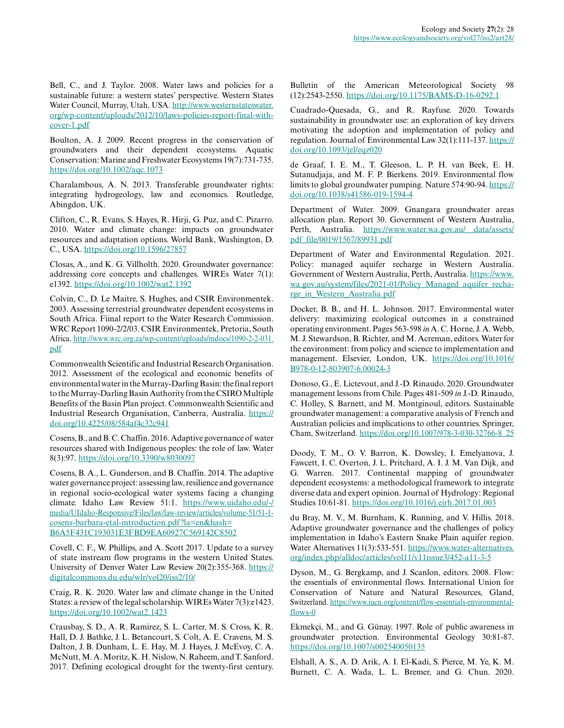Bell, C., and J. Taylor. 2008. Water laws and policies for a sustainable future: a western states' perspective. Western States Water Council, Murray, Utah, USA. [http://www.westernstateswater.](http://www.westernstateswater.org/wp-content/uploads/2012/10/laws-policies-report-final-with-cover-1.pdf) [org/wp-content/uploads/2012/10/laws-policies-report-final-with](http://www.westernstateswater.org/wp-content/uploads/2012/10/laws-policies-report-final-with-cover-1.pdf)[cover-1.pdf](http://www.westernstateswater.org/wp-content/uploads/2012/10/laws-policies-report-final-with-cover-1.pdf)

Boulton, A. J. 2009. Recent progress in the conservation of groundwaters and their dependent ecosystems. Aquatic Conservation: Marine and Freshwater Ecosystems 19(7):731-735. <https://doi.org/10.1002/aqc.1073>

Charalambous, A. N. 2013. Transferable groundwater rights: integrating hydrogeology, law and economics. Routledge, Abingdon, UK.

Clifton, C., R. Evans, S. Hayes, R. Hirji, G. Puz, and C. Pizarro. 2010. Water and climate change: impacts on groundwater resources and adaptation options. World Bank, Washington, D. C., USA.<https://doi.org/10.1596/27857>

Closas, A., and K. G. Villholth. 2020. Groundwater governance: addressing core concepts and challenges. WIREs Water 7(1): e1392. <https://doi.org/10.1002/wat2.1392>

Colvin, C., D. Le Maitre, S. Hughes, and CSIR Environmentek. 2003. Assessing terrestrial groundwater dependent ecosystems in South Africa. Fiinal report to the Water Research Commission. WRC Report 1090-2/2/03. CSIR Environmentek, Pretoria, South Africa. [http://www.wrc.org.za/wp-content/uploads/mdocs/1090-2-2-031.](http://www.wrc.org.za/wp-content/uploads/mdocs/1090-2-2-031.pdf) [pdf](http://www.wrc.org.za/wp-content/uploads/mdocs/1090-2-2-031.pdf)

Commonwealth Scientific and Industrial Research Organisation. 2012. Assessment of the ecological and economic benefits of environmental water in the Murray-Darling Basin: the final report to the Murray-Darling Basin Authority from the CSIRO Multiple Benefits of the Basin Plan project. Commonwealth Scientific and Industrial Research Organisation, Canberra, Australia. [https://](https://doi.org/10.4225/08/584af4c32c941) [doi.org/10.4225/08/584af4c32c941](https://doi.org/10.4225/08/584af4c32c941)

Cosens, B., and B. C. Chaffin. 2016. Adaptive governance of water resources shared with Indigenous peoples: the role of law. Water 8(3):97.<https://doi.org/10.3390/w8030097>

Cosens, B. A., L. Gunderson, and B. Chaffin. 2014. The adaptive water governance project: assessing law, resilience and governance in regional socio-ecological water systems facing a changing climate. Idaho Law Review 51:1. [https://www.uidaho.edu/-/](https://www.uidaho.edu/-/media/UIdaho-Responsive/Files/law/law-review/articles/volume-51/51-1-cosens-barbara-etal-introduction.pdf?la=en&hash=B6A5F431C193031E3FBD9EA60927C569142C8502) [media/UIdaho-Responsive/Files/law/law-review/articles/volume-51/51-1](https://www.uidaho.edu/-/media/UIdaho-Responsive/Files/law/law-review/articles/volume-51/51-1-cosens-barbara-etal-introduction.pdf?la=en&hash=B6A5F431C193031E3FBD9EA60927C569142C8502) [cosens-barbara-etal-introduction.pdf?la=en&hash=](https://www.uidaho.edu/-/media/UIdaho-Responsive/Files/law/law-review/articles/volume-51/51-1-cosens-barbara-etal-introduction.pdf?la=en&hash=B6A5F431C193031E3FBD9EA60927C569142C8502) [B6A5F431C193031E3FBD9EA60927C569142C8502](https://www.uidaho.edu/-/media/UIdaho-Responsive/Files/law/law-review/articles/volume-51/51-1-cosens-barbara-etal-introduction.pdf?la=en&hash=B6A5F431C193031E3FBD9EA60927C569142C8502) 

Covell, C. F., W. Phillips, and A. Scott 2017. Update to a survey of state instream flow programs in the western United States. University of Denver Water Law Review 20(2):355-368. [https://](https://digitalcommons.du.edu/wlr/vol20/iss2/10/) [digitalcommons.du.edu/wlr/vol20/iss2/10/](https://digitalcommons.du.edu/wlr/vol20/iss2/10/)

Craig, R. K. 2020. Water law and climate change in the United States: a review of the legal scholarship. WIREs Water 7(3):e1423. <https://doi.org/10.1002/wat2.1423>

Crausbay, S. D., A. R. Ramirez, S. L. Carter, M. S. Cross, K. R. Hall, D. J. Bathke, J. L. Betancourt, S. Colt, A. E. Cravens, M. S. Dalton, J. B. Dunham, L. E. Hay, M. J. Hayes, J. McEvoy, C. A. McNutt, M. A. Moritz, K. H. Nislow, N. Raheem, and T. Sanford. 2017. Defining ecological drought for the twenty-first century. Bulletin of the American Meteorological Society 98 (12):2543-2550.<https://doi.org/10.1175/BAMS-D-16-0292.1>

Cuadrado-Quesada, G., and R. Rayfuse. 2020. Towards sustainability in groundwater use: an exploration of key drivers motivating the adoption and implementation of policy and regulation. Journal of Environmental Law 32(1):111-137. [https://](https://doi.org/10.1093/jel/eqz020) [doi.org/10.1093/jel/eqz020](https://doi.org/10.1093/jel/eqz020) 

de Graaf, I. E. M., T. Gleeson, L. P. H. van Beek, E. H. Sutanudjaja, and M. F. P. Bierkens. 2019. Environmental flow limits to global groundwater pumping. Nature 574:90-94. [https://](https://doi.org/10.1038/s41586-019-1594-4) [doi.org/10.1038/s41586-019-1594-4](https://doi.org/10.1038/s41586-019-1594-4) 

Department of Water. 2009. Gnangara groundwater areas allocation plan. Report 30. Government of Western Australia, Perth, Australia. https://www.water.wa.gov.au/ data/assets/ [pdf\\_file/0019/1567/89931.pdf](https://www.water.wa.gov.au/__data/assets/pdf_file/0019/1567/89931.pdf)

Department of Water and Environmental Regulation. 2021. Policy: managed aquifer recharge in Western Australia. Government of Western Australia, Perth, Australia. [https://www.](https://www.wa.gov.au/system/files/2021-01/Policy_Managed_aquifer_recharge_in_Western_Australia.pdf) [wa.gov.au/system/files/2021-01/Policy\\_Managed\\_aquifer\\_recha](https://www.wa.gov.au/system/files/2021-01/Policy_Managed_aquifer_recharge_in_Western_Australia.pdf)[rge\\_in\\_Western\\_Australia.pdf](https://www.wa.gov.au/system/files/2021-01/Policy_Managed_aquifer_recharge_in_Western_Australia.pdf)

Docker, B. B., and H. L. Johnson. 2017. Environmental water delivery: maximizing ecological outcomes in a constrained operating environment. Pages 563-598 *in* A. C. Horne, J. A. Webb, M. J. Stewardson, B. Richter, and M. Acreman, editors. Water for the environment: from policy and science to implementation and management. Elsevier, London, UK. [https://doi.org/10.1016/](https://doi.org/10.1016/B978-0-12-803907-6.00024-3) [B978-0-12-803907-6.00024-3](https://doi.org/10.1016/B978-0-12-803907-6.00024-3) 

Donoso, G., E. Lictevout, and J.-D. Rinaudo. 2020. Groundwater management lessons from Chile. Pages 481-509 *in* J.-D. Rinaudo, C. Holley, S. Barnett, and M. Montginoul, editors. Sustainable groundwater management: a comparative analysis of French and Australian policies and implications to other countries. Springer, Cham, Switzerland. [https://doi.org/10.1007/978-3-030-32766-8\\_25](https://doi.org/10.1007/978-3-030-32766-8_25)

Doody, T. M., O. V. Barron, K. Dowsley, I. Emelyanova, J. Fawcett, I. C. Overton, J. L. Pritchard, A. I. J. M. Van Dijk, and G. Warren. 2017. Continental mapping of groundwater dependent ecosystems: a methodological framework to integrate diverse data and expert opinion. Journal of Hydrology: Regional Studies 10:61-81.<https://doi.org/10.1016/j.ejrh.2017.01.003>

du Bray, M. V., M. Burnham, K. Running, and V. Hillis. 2018. Adaptive groundwater governance and the challenges of policy implementation in Idaho's Eastern Snake Plain aquifer region. Water Alternatives 11(3):533-551. [https://www.water-alternatives.](https://www.water-alternatives.org/index.php/alldoc/articles/vol11/v11issue3/452-a11-3-5) [org/index.php/alldoc/articles/vol11/v11issue3/452-a11-3-5](https://www.water-alternatives.org/index.php/alldoc/articles/vol11/v11issue3/452-a11-3-5)

Dyson, M., G. Bergkamp, and J. Scanlon, editors. 2008. Flow: the essentials of environmental flows. International Union for Conservation of Nature and Natural Resources, Gland, Switzerland. [https://www.iucn.org/content/flow-essentials-environmental](https://www.iucn.org/content/flow-essentials-environmental-flows-0)[flows-0](https://www.iucn.org/content/flow-essentials-environmental-flows-0) 

Ekmekçi, M., and G. Günay. 1997. Role of public awareness in groundwater protection. Environmental Geology 30:81-87. <https://doi.org/10.1007/s002540050135>

Elshall, A. S., A. D. Arik, A. I. El-Kadi, S. Pierce, M. Ye, K. M. Burnett, C. A. Wada, L. L. Bremer, and G. Chun. 2020.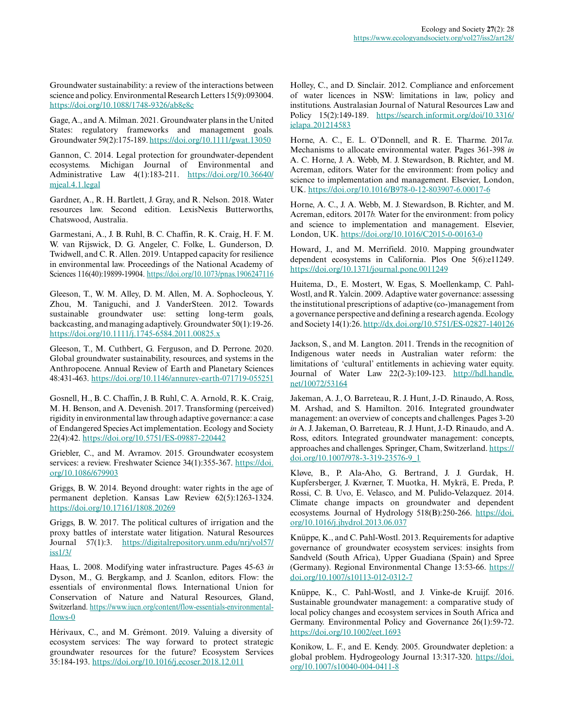Groundwater sustainability: a review of the interactions between science and policy. Environmental Research Letters 15(9):093004. <https://doi.org/10.1088/1748-9326/ab8e8c>

Gage, A., and A. Milman. 2021. Groundwater plans in the United States: regulatory frameworks and management goals. Groundwater 59(2):175-189.<https://doi.org/10.1111/gwat.13050>

Gannon, C. 2014. Legal protection for groundwater-dependent ecosystems. Michigan Journal of Environmental and Administrative Law 4(1):183-211. [https://doi.org/10.36640/](https://doi.org/10.36640/mjeal.4.1.legal) [mjeal.4.1.legal](https://doi.org/10.36640/mjeal.4.1.legal) 

Gardner, A., R. H. Bartlett, J. Gray, and R. Nelson. 2018. Water resources law. Second edition. LexisNexis Butterworths, Chatswood, Australia.

Garmestani, A., J. B. Ruhl, B. C. Chaffin, R. K. Craig, H. F. M. W. van Rijswick, D. G. Angeler, C. Folke, L. Gunderson, D. Twidwell, and C. R. Allen. 2019. Untapped capacity for resilience in environmental law. Proceedings of the National Academy of Sciences 116(40):19899-19904.<https://doi.org/10.1073/pnas.1906247116>

Gleeson, T., W. M. Alley, D. M. Allen, M. A. Sophocleous, Y. Zhou, M. Taniguchi, and J. VanderSteen. 2012. Towards sustainable groundwater use: setting long-term goals, backcasting, and managing adaptively. Groundwater 50(1):19-26. <https://doi.org/10.1111/j.1745-6584.2011.00825.x>

Gleeson, T., M. Cuthbert, G. Ferguson, and D. Perrone. 2020. Global groundwater sustainability, resources, and systems in the Anthropocene. Annual Review of Earth and Planetary Sciences 48:431-463.<https://doi.org/10.1146/annurev-earth-071719-055251>

Gosnell, H., B. C. Chaffin, J. B. Ruhl, C. A. Arnold, R. K. Craig, M. H. Benson, and A. Devenish. 2017. Transforming (perceived) rigidity in environmental law through adaptive governance: a case of Endangered Species Act implementation. Ecology and Society 22(4):42. <https://doi.org/10.5751/ES-09887-220442>

Griebler, C., and M. Avramov. 2015. Groundwater ecosystem services: a review. Freshwater Science 34(1):355-367. [https://doi.](https://doi.org/10.1086/679903) [org/10.1086/679903](https://doi.org/10.1086/679903)

Griggs, B. W. 2014. Beyond drought: water rights in the age of permanent depletion. Kansas Law Review 62(5):1263-1324. <https://doi.org/10.17161/1808.20269>

Griggs, B. W. 2017. The political cultures of irrigation and the proxy battles of interstate water litigation. Natural Resources Journal 57(1):3. [https://digitalrepository.unm.edu/nrj/vol57/](https://digitalrepository.unm.edu/nrj/vol57/iss1/3/) [iss1/3/](https://digitalrepository.unm.edu/nrj/vol57/iss1/3/)

Haas, L. 2008. Modifying water infrastructure. Pages 45-63 *in* Dyson, M., G. Bergkamp, and J. Scanlon, editors. Flow: the essentials of environmental flows. International Union for Conservation of Nature and Natural Resources, Gland, Switzerland. [https://www.iucn.org/content/flow-essentials-environmental](https://www.iucn.org/content/flow-essentials-environmental-flows-0)[flows-0](https://www.iucn.org/content/flow-essentials-environmental-flows-0) 

Hérivaux, C., and M. Grémont. 2019. Valuing a diversity of ecosystem services: The way forward to protect strategic groundwater resources for the future? Ecosystem Services 35:184-193.<https://doi.org/10.1016/j.ecoser.2018.12.011>

Holley, C., and D. Sinclair. 2012. Compliance and enforcement of water licences in NSW: limitations in law, policy and institutions. Australasian Journal of Natural Resources Law and Policy 15(2):149-189. [https://search.informit.org/doi/10.3316/](https://search.informit.org/doi/10.3316/ielapa.201214583) [ielapa.201214583](https://search.informit.org/doi/10.3316/ielapa.201214583) 

Horne, A. C., E. L. O'Donnell, and R. E. Tharme. 2017*a.* Mechanisms to allocate environmental water. Pages 361-398 *in* A. C. Horne, J. A. Webb, M. J. Stewardson, B. Richter, and M. Acreman, editors. Water for the environment: from policy and science to implementation and management. Elsevier, London, UK. <https://doi.org/10.1016/B978-0-12-803907-6.00017-6>

Horne, A. C., J. A. Webb, M. J. Stewardson, B. Richter, and M. Acreman, editors. 2017*b.* Water for the environment: from policy and science to implementation and management. Elsevier, London, UK.<https://doi.org/10.1016/C2015-0-00163-0>

Howard, J., and M. Merrifield. 2010. Mapping groundwater dependent ecosystems in California. Plos One 5(6):e11249. <https://doi.org/10.1371/journal.pone.0011249>

Huitema, D., E. Mostert, W. Egas, S. Moellenkamp, C. Pahl-Wostl, and R. Yalcin. 2009. Adaptive water governance: assessing the institutional prescriptions of adaptive (co-)management from a governance perspective and defining a research agenda. Ecology and Society 14(1):26.<http://dx.doi.org/10.5751/ES-02827-140126>

Jackson, S., and M. Langton. 2011. Trends in the recognition of Indigenous water needs in Australian water reform: the limitations of 'cultural' entitlements in achieving water equity. Journal of Water Law 22(2-3):109-123. [http://hdl.handle.](http://hdl.handle.net/10072/53164) [net/10072/53164](http://hdl.handle.net/10072/53164) 

Jakeman, A. J., O. Barreteau, R. J. Hunt, J.-D. Rinaudo, A. Ross, M. Arshad, and S. Hamilton. 2016. Integrated groundwater management: an overview of concepts and challenges. Pages 3-20 *in* A. J. Jakeman, O. Barreteau, R. J. Hunt, J.-D. Rinaudo, and A. Ross, editors. Integrated groundwater management: concepts, approaches and challenges. Springer, Cham, Switzerland. [https://](https://doi.org/10.1007/978-3-319-23576-9_1) [doi.org/10.1007/978-3-319-23576-9\\_1](https://doi.org/10.1007/978-3-319-23576-9_1)

Kløve, B., P. Ala-Aho, G. Bertrand, J. J. Gurdak, H. Kupfersberger, J. Kværner, T. Muotka, H. Mykrä, E. Preda, P. Rossi, C. B. Uvo, E. Velasco, and M. Pulido-Velazquez. 2014. Climate change impacts on groundwater and dependent ecosystems. Journal of Hydrology 518(B):250-266. [https://doi.](https://doi.org/10.1016/j.jhydrol.2013.06.037) [org/10.1016/j.jhydrol.2013.06.037](https://doi.org/10.1016/j.jhydrol.2013.06.037) 

Knüppe, K., and C. Pahl-Wostl. 2013. Requirements for adaptive governance of groundwater ecosystem services: insights from Sandveld (South Africa), Upper Guadiana (Spain) and Spree (Germany). Regional Environmental Change 13:53-66. [https://](https://doi.org/10.1007/s10113-012-0312-7) [doi.org/10.1007/s10113-012-0312-7](https://doi.org/10.1007/s10113-012-0312-7) 

Knüppe, K., C. Pahl-Wostl, and J. Vinke-de Kruijf. 2016. Sustainable groundwater management: a comparative study of local policy changes and ecosystem services in South Africa and Germany. Environmental Policy and Governance 26(1):59-72. <https://doi.org/10.1002/eet.1693>

Konikow, L. F., and E. Kendy. 2005. Groundwater depletion: a global problem. Hydrogeology Journal 13:317-320. [https://doi.](https://doi.org/10.1007/s10040-004-0411-8) [org/10.1007/s10040-004-0411-8](https://doi.org/10.1007/s10040-004-0411-8)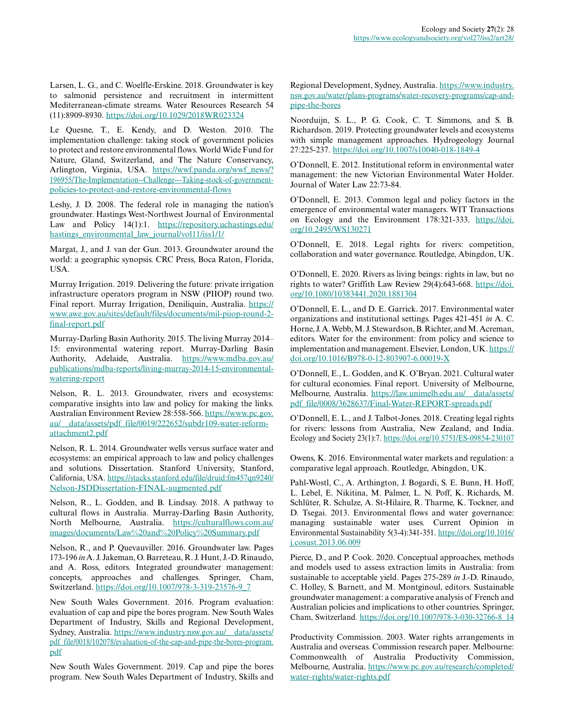Larsen, L. G., and C. Woelfle-Erskine. 2018. Groundwater is key to salmonid persistence and recruitment in intermittent Mediterranean-climate streams. Water Resources Research 54 (11):8909-8930.<https://doi.org/10.1029/2018WR023324>

Le Quesne, T., E. Kendy, and D. Weston. 2010. The implementation challenge: taking stock of government policies to protect and restore environmental flows. World Wide Fund for Nature, Gland, Switzerland, and The Nature Conservancy, Arlington, Virginia, USA. [https://wwf.panda.org/wwf\\_news/?](https://wwf.panda.org/wwf_news/?196955/The-Implementation--Challenge---Taking-stock-of-government-policies-to-protect-and-restore-environmental-flows) [196955/The-Implementation--Challenge---Taking-stock-of-government](https://wwf.panda.org/wwf_news/?196955/The-Implementation--Challenge---Taking-stock-of-government-policies-to-protect-and-restore-environmental-flows)[policies-to-protect-and-restore-environmental-flows](https://wwf.panda.org/wwf_news/?196955/The-Implementation--Challenge---Taking-stock-of-government-policies-to-protect-and-restore-environmental-flows) 

Leshy, J. D. 2008. The federal role in managing the nation's groundwater. Hastings West-Northwest Journal of Environmental Law and Policy 14(1):1. [https://repository.uchastings.edu/](https://repository.uchastings.edu/hastings_environmental_law_journal/vol11/iss1/1/) hastings environmental law journal/vol11/iss1/1/

Margat, J., and J. van der Gun. 2013. Groundwater around the world: a geographic synopsis. CRC Press, Boca Raton, Florida, USA.

Murray Irrigation. 2019. Delivering the future: private irrigation infrastructure operators program in NSW (PIIOP) round two. Final report. Murray Irrigation, Deniliquin, Australia. [https://](https://www.awe.gov.au/sites/default/files/documents/mil-piiop-round-2-final-report.pdf) [www.awe.gov.au/sites/default/files/documents/mil-piiop-round-2](https://www.awe.gov.au/sites/default/files/documents/mil-piiop-round-2-final-report.pdf) [final-report.pdf](https://www.awe.gov.au/sites/default/files/documents/mil-piiop-round-2-final-report.pdf)

Murray-Darling Basin Authority. 2015. The living Murray 2014– 15: environmental watering report. Murray-Darling Basin Authority, Adelaide, Australia. [https://www.mdba.gov.au/](https://www.mdba.gov.au/publications/mdba-reports/living-murray-2014-15-environmental-watering-report) [publications/mdba-reports/living-murray-2014-15-environmental](https://www.mdba.gov.au/publications/mdba-reports/living-murray-2014-15-environmental-watering-report)[watering-report](https://www.mdba.gov.au/publications/mdba-reports/living-murray-2014-15-environmental-watering-report) 

Nelson, R. L. 2013. Groundwater, rivers and ecosystems: comparative insights into law and policy for making the links. Australian Environment Review 28:558-566. [https://www.pc.gov.](https://www.pc.gov.au/__data/assets/pdf_file/0019/222652/subdr109-water-reform-attachment2.pdf) [au/\\_\\_data/assets/pdf\\_file/0019/222652/subdr109-water-reform](https://www.pc.gov.au/__data/assets/pdf_file/0019/222652/subdr109-water-reform-attachment2.pdf)[attachment2.pdf](https://www.pc.gov.au/__data/assets/pdf_file/0019/222652/subdr109-water-reform-attachment2.pdf)

Nelson, R. L. 2014. Groundwater wells versus surface water and ecosystems: an empirical approach to law and policy challenges and solutions. Dissertation. Stanford University, Stanford, California, USA. [https://stacks.stanford.edu/file/druid:fm457qn9240/](https://stacks.stanford.edu/file/druid:fm457qn9240/Nelson-JSDDissertation-FINAL-augmented.pdf) [Nelson-JSDDissertation-FINAL-augmented.pdf](https://stacks.stanford.edu/file/druid:fm457qn9240/Nelson-JSDDissertation-FINAL-augmented.pdf)

Nelson, R., L. Godden, and B. Lindsay. 2018. A pathway to cultural flows in Australia. Murray-Darling Basin Authority, North Melbourne, Australia. [https://culturalflows.com.au/](https://culturalflows.com.au/images/documents/Law%20and%20Policy%20Summary.pdf) [images/documents/Law%20and%20Policy%20Summary.pdf](https://culturalflows.com.au/images/documents/Law%20and%20Policy%20Summary.pdf)

Nelson, R., and P. Quevauviller. 2016. Groundwater law. Pages 173-196 *in* A. J. Jakeman, O. Barreteau, R. J. Hunt, J.-D. Rinaudo, and A. Ross, editors. Integrated groundwater management: concepts, approaches and challenges. Springer, Cham, Switzerland. [https://doi.org/10.1007/978-3-319-23576-9\\_7](https://doi.org/10.1007/978-3-319-23576-9_7)

New South Wales Government. 2016. Program evaluation: evaluation of cap and pipe the bores program. New South Wales Department of Industry, Skills and Regional Development, Sydney, Australia. [https://www.industry.nsw.gov.au/\\_\\_data/assets/](https://www.industry.nsw.gov.au/__data/assets/pdf_file/0018/102078/evaluation-of-the-cap-and-pipe-the-bores-program.pdf) [pdf\\_file/0018/102078/evaluation-of-the-cap-and-pipe-the-bores-program.](https://www.industry.nsw.gov.au/__data/assets/pdf_file/0018/102078/evaluation-of-the-cap-and-pipe-the-bores-program.pdf) [pdf](https://www.industry.nsw.gov.au/__data/assets/pdf_file/0018/102078/evaluation-of-the-cap-and-pipe-the-bores-program.pdf)

New South Wales Government. 2019. Cap and pipe the bores program. New South Wales Department of Industry, Skills and Regional Development, Sydney, Australia. [https://www.industry.](https://www.industry.nsw.gov.au/water/plans-programs/water-recovery-programs/cap-and-pipe-the-bores) [nsw.gov.au/water/plans-programs/water-recovery-programs/cap-and](https://www.industry.nsw.gov.au/water/plans-programs/water-recovery-programs/cap-and-pipe-the-bores)[pipe-the-bores](https://www.industry.nsw.gov.au/water/plans-programs/water-recovery-programs/cap-and-pipe-the-bores) 

Noorduijn, S. L., P. G. Cook, C. T. Simmons, and S. B. Richardson. 2019. Protecting groundwater levels and ecosystems with simple management approaches. Hydrogeology Journal 27:225-237.<https://doi.org/10.1007/s10040-018-1849-4>

O'Donnell, E. 2012. Institutional reform in environmental water management: the new Victorian Environmental Water Holder. Journal of Water Law 22:73-84.

O'Donnell, E. 2013. Common legal and policy factors in the emergence of environmental water managers. WIT Transactions on Ecology and the Environment 178:321-333. [https://doi.](https://doi.org/10.2495/WS130271) [org/10.2495/WS130271](https://doi.org/10.2495/WS130271)

O'Donnell, E. 2018. Legal rights for rivers: competition, collaboration and water governance. Routledge, Abingdon, UK.

O'Donnell, E. 2020. Rivers as living beings: rights in law, but no rights to water? Griffith Law Review 29(4):643-668. [https://doi.](https://doi.org/10.1080/10383441.2020.1881304) [org/10.1080/10383441.2020.1881304](https://doi.org/10.1080/10383441.2020.1881304) 

O'Donnell, E. L., and D. E. Garrick. 2017. Environmental water organizations and institutional settings. Pages 421-451 *in* A. C. Horne, J. A. Webb, M. J. Stewardson, B. Richter, and M. Acreman, editors. Water for the environment: from policy and science to implementation and management. Elsevier, London, UK. [https://](https://doi.org/10.1016/B978-0-12-803907-6.00019-X) [doi.org/10.1016/B978-0-12-803907-6.00019-X](https://doi.org/10.1016/B978-0-12-803907-6.00019-X)

O'Donnell, E., L. Godden, and K. O'Bryan. 2021. Cultural water for cultural economies. Final report. University of Melbourne, Melbourne, Australia. [https://law.unimelb.edu.au/\\_\\_data/assets/](https://law.unimelb.edu.au/__data/assets/pdf_file/0008/3628637/Final-Water-REPORT-spreads.pdf) [pdf\\_file/0008/3628637/Final-Water-REPORT-spreads.pdf](https://law.unimelb.edu.au/__data/assets/pdf_file/0008/3628637/Final-Water-REPORT-spreads.pdf)

O'Donnell, E. L., and J. Talbot-Jones. 2018. Creating legal rights for rivers: lessons from Australia, New Zealand, and India. Ecology and Society 23(1):7.<https://doi.org/10.5751/ES-09854-230107>

Owens, K. 2016. Environmental water markets and regulation: a comparative legal approach. Routledge, Abingdon, UK.

Pahl-Wostl, C., A. Arthington, J. Bogardi, S. E. Bunn, H. Hoff, L. Lebel, E. Nikitina, M. Palmer, L. N. Poff, K. Richards, M. Schlüter, R. Schulze, A. St-Hilaire, R. Tharme, K. Tockner, and D. Tsegai. 2013. Environmental flows and water governance: managing sustainable water uses. Current Opinion in Environmental Sustainability 5(3-4):341-351. [https://doi.org/10.1016/](https://doi.org/10.1016/j.cosust.2013.06.009) [j.cosust.2013.06.009](https://doi.org/10.1016/j.cosust.2013.06.009) 

Pierce, D., and P. Cook. 2020. Conceptual approaches, methods and models used to assess extraction limits in Australia: from sustainable to acceptable yield. Pages 275-289 *in* J.-D. Rinaudo, C. Holley, S. Barnett, and M. Montginoul, editors. Sustainable groundwater management: a comparative analysis of French and Australian policies and implications to other countries. Springer, Cham, Switzerland. [https://doi.org/10.1007/978-3-030-32766-8\\_14](https://doi.org/10.1007/978-3-030-32766-8_14)

Productivity Commission. 2003. Water rights arrangements in Australia and overseas. Commission research paper. Melbourne: Commonwealth of Australia Productivity Commission, Melbourne, Australia. [https://www.pc.gov.au/research/completed/](https://www.pc.gov.au/research/completed/water-rights/water-rights.pdf) [water-rights/water-rights.pdf](https://www.pc.gov.au/research/completed/water-rights/water-rights.pdf)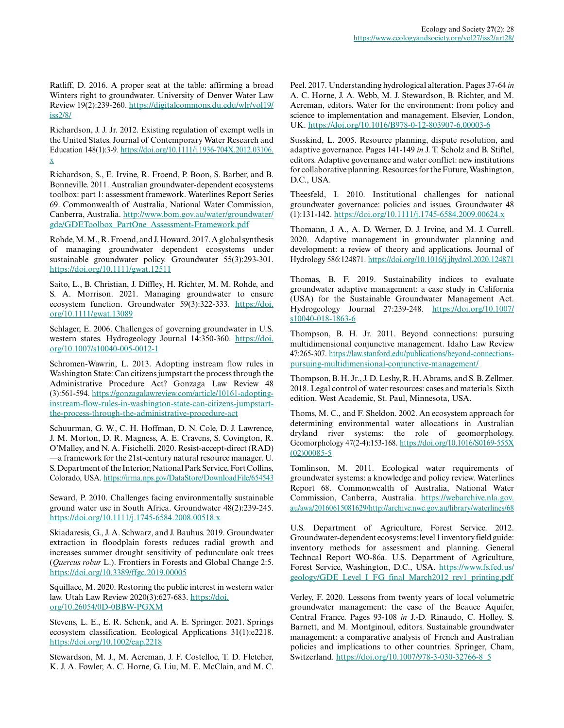Ratliff, D. 2016. A proper seat at the table: affirming a broad Winters right to groundwater. University of Denver Water Law Review 19(2):239-260. [https://digitalcommons.du.edu/wlr/vol19/](https://digitalcommons.du.edu/wlr/vol19/iss2/8/) [iss2/8/](https://digitalcommons.du.edu/wlr/vol19/iss2/8/)

Richardson, J. J. Jr. 2012. Existing regulation of exempt wells in the United States. Journal of Contemporary Water Research and Education 148(1):3-9. [https://doi.org/10.1111/j.1936-704X.2012.03106.](https://doi.org/10.1111/j.1936-704X.2012.03106.x) [x](https://doi.org/10.1111/j.1936-704X.2012.03106.x)

Richardson, S., E. Irvine, R. Froend, P. Boon, S. Barber, and B. Bonneville. 2011. Australian groundwater-dependent ecosystems toolbox: part 1: assessment framework. Waterlines Report Series 69. Commonwealth of Australia, National Water Commission, Canberra, Australia. [http://www.bom.gov.au/water/groundwater/](http://www.bom.gov.au/water/groundwater/gde/GDEToolbox_PartOne_Assessment-Framework.pdf) [gde/GDEToolbox\\_PartOne\\_Assessment-Framework.pdf](http://www.bom.gov.au/water/groundwater/gde/GDEToolbox_PartOne_Assessment-Framework.pdf)

Rohde, M. M., R. Froend, and J. Howard. 2017. A global synthesis of managing groundwater dependent ecosystems under sustainable groundwater policy. Groundwater 55(3):293-301. <https://doi.org/10.1111/gwat.12511>

Saito, L., B. Christian, J. Diffley, H. Richter, M. M. Rohde, and S. A. Morrison. 2021. Managing groundwater to ensure ecosystem function. Groundwater 59(3):322-333. [https://doi.](https://doi.org/10.1111/gwat.13089) [org/10.1111/gwat.13089](https://doi.org/10.1111/gwat.13089)

Schlager, E. 2006. Challenges of governing groundwater in U.S. western states. Hydrogeology Journal 14:350-360. [https://doi.](https://doi.org/10.1007/s10040-005-0012-1) [org/10.1007/s10040-005-0012-1](https://doi.org/10.1007/s10040-005-0012-1)

Schromen-Wawrin, L. 2013. Adopting instream flow rules in Washington State: Can citizens jumpstart the process through the Administrative Procedure Act? Gonzaga Law Review 48 (3):561-594. [https://gonzagalawreview.com/article/10161-adopting](https://gonzagalawreview.com/article/10161-adopting-instream-flow-rules-in-washington-state-can-citizens-jumpstart-the-process-through-the-administrative-procedure-act)[instream-flow-rules-in-washington-state-can-citizens-jumpstart](https://gonzagalawreview.com/article/10161-adopting-instream-flow-rules-in-washington-state-can-citizens-jumpstart-the-process-through-the-administrative-procedure-act)[the-process-through-the-administrative-procedure-act](https://gonzagalawreview.com/article/10161-adopting-instream-flow-rules-in-washington-state-can-citizens-jumpstart-the-process-through-the-administrative-procedure-act)

Schuurman, G. W., C. H. Hoffman, D. N. Cole, D. J. Lawrence, J. M. Morton, D. R. Magness, A. E. Cravens, S. Covington, R. O'Malley, and N. A. Fisichelli. 2020. Resist-accept-direct (RAD) —a framework for the 21st-century natural resource manager. U. S. Department of the Interior, National Park Service, Fort Collins, Colorado, USA.<https://irma.nps.gov/DataStore/DownloadFile/654543>

Seward, P. 2010. Challenges facing environmentally sustainable ground water use in South Africa. Groundwater 48(2):239-245. <https://doi.org/10.1111/j.1745-6584.2008.00518.x>

Skiadaresis, G., J. A. Schwarz, and J. Bauhus. 2019. Groundwater extraction in floodplain forests reduces radial growth and increases summer drought sensitivity of pedunculate oak trees (*Quercus robur* L.). Frontiers in Forests and Global Change 2:5. <https://doi.org/10.3389/ffgc.2019.00005>

Squillace, M. 2020. Restoring the public interest in western water law. Utah Law Review 2020(3):627-683. [https://doi.](https://doi.org/10.26054/0D-0BBW-PGXM) [org/10.26054/0D-0BBW-PGXM](https://doi.org/10.26054/0D-0BBW-PGXM)

Stevens, L. E., E. R. Schenk, and A. E. Springer. 2021. Springs ecosystem classification. Ecological Applications 31(1):e2218. <https://doi.org/10.1002/eap.2218>

Stewardson, M. J., M. Acreman, J. F. Costelloe, T. D. Fletcher, K. J. A. Fowler, A. C. Horne, G. Liu, M. E. McClain, and M. C. Peel. 2017. Understanding hydrological alteration. Pages 37-64 *in* A. C. Horne, J. A. Webb, M. J. Stewardson, B. Richter, and M. Acreman, editors. Water for the environment: from policy and science to implementation and management. Elsevier, London, UK. <https://doi.org/10.1016/B978-0-12-803907-6.00003-6>

Susskind, L. 2005. Resource planning, dispute resolution, and adaptive governance. Pages 141-149 *in* J. T. Scholz and B. Stiftel, editors. Adaptive governance and water conflict: new institutions for collaborative planning. Resources for the Future, Washington, D.C., USA.

Theesfeld, I. 2010. Institutional challenges for national groundwater governance: policies and issues. Groundwater 48 (1):131-142. <https://doi.org/10.1111/j.1745-6584.2009.00624.x>

Thomann, J. A., A. D. Werner, D. J. Irvine, and M. J. Currell. 2020. Adaptive management in groundwater planning and development: a review of theory and applications. Journal of Hydrology 586:124871. <https://doi.org/10.1016/j.jhydrol.2020.124871>

Thomas, B. F. 2019. Sustainability indices to evaluate groundwater adaptive management: a case study in California (USA) for the Sustainable Groundwater Management Act. Hydrogeology Journal 27:239-248. [https://doi.org/10.1007/](https://doi.org/10.1007/s10040-018-1863-6) [s10040-018-1863-6](https://doi.org/10.1007/s10040-018-1863-6) 

Thompson, B. H. Jr. 2011. Beyond connections: pursuing multidimensional conjunctive management. Idaho Law Review 47:265-307. [https://law.stanford.edu/publications/beyond-connections](https://law.stanford.edu/publications/beyond-connections-pursuing-multidimensional-conjunctive-management/)[pursuing-multidimensional-conjunctive-management/](https://law.stanford.edu/publications/beyond-connections-pursuing-multidimensional-conjunctive-management/) 

Thompson, B. H. Jr., J. D. Leshy, R. H. Abrams, and S. B. Zellmer. 2018. Legal control of water resources: cases and materials. Sixth edition. West Academic, St. Paul, Minnesota, USA.

Thoms, M. C., and F. Sheldon. 2002. An ecosystem approach for determining environmental water allocations in Australian dryland river systems: the role of geomorphology. Geomorphology 47(2-4):153-168. [https://doi.org/10.1016/S0169-555X](https://doi.org/10.1016/S0169-555X(02)00085-5) [\(02\)00085-5](https://doi.org/10.1016/S0169-555X(02)00085-5) 

Tomlinson, M. 2011. Ecological water requirements of groundwater systems: a knowledge and policy review. Waterlines Report 68. Commonwealth of Australia, National Water Commission, Canberra, Australia. [https://webarchive.nla.gov.](https://webarchive.nla.gov.au/awa/20160615081629/http://archive.nwc.gov.au/library/waterlines/68) [au/awa/20160615081629/http://archive.nwc.gov.au/library/waterlines/68](https://webarchive.nla.gov.au/awa/20160615081629/http://archive.nwc.gov.au/library/waterlines/68)

U.S. Department of Agriculture, Forest Service. 2012. Groundwater-dependent ecosystems: level 1 inventory field guide: inventory methods for assessment and planning. General Techncal Report WO-86a. U.S. Department of Agriculture, Forest Service, Washington, D.C., USA. [https://www.fs.fed.us/](https://www.fs.fed.us/geology/GDE_Level_I_FG_final_March2012_rev1_printing.pdf) [geology/GDE\\_Level\\_I\\_FG\\_final\\_March2012\\_rev1\\_printing.pdf](https://www.fs.fed.us/geology/GDE_Level_I_FG_final_March2012_rev1_printing.pdf)

Verley, F. 2020. Lessons from twenty years of local volumetric groundwater management: the case of the Beauce Aquifer, Central France. Pages 93-108 *in* J.-D. Rinaudo, C. Holley, S. Barnett, and M. Montginoul, editors. Sustainable groundwater management: a comparative analysis of French and Australian policies and implications to other countries. Springer, Cham, Switzerland. [https://doi.org/10.1007/978-3-030-32766-8\\_5](https://doi.org/10.1007/978-3-030-32766-8_5)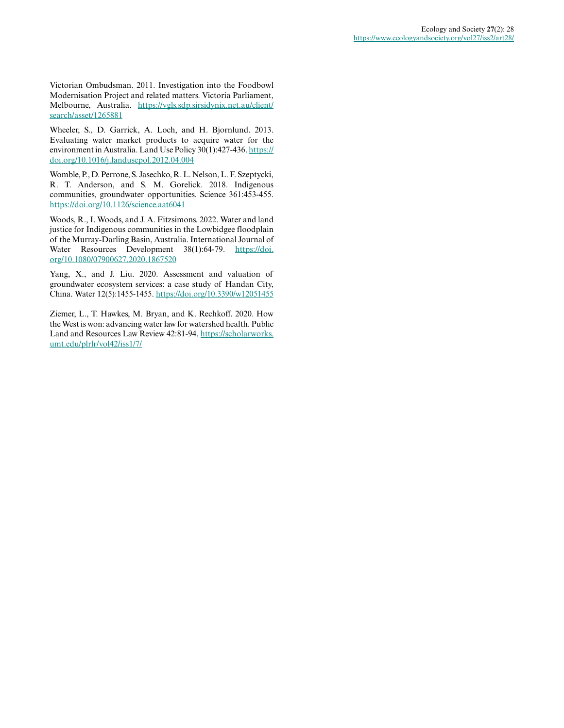Victorian Ombudsman. 2011. Investigation into the Foodbowl Modernisation Project and related matters. Victoria Parliament, Melbourne, Australia. [https://vgls.sdp.sirsidynix.net.au/client/](https://vgls.sdp.sirsidynix.net.au/client/search/asset/1265881) [search/asset/1265881](https://vgls.sdp.sirsidynix.net.au/client/search/asset/1265881)

Wheeler, S., D. Garrick, A. Loch, and H. Bjornlund. 2013. Evaluating water market products to acquire water for the environment in Australia. Land Use Policy 30(1):427-436. [https://](https://doi.org/10.1016/j.landusepol.2012.04.004) [doi.org/10.1016/j.landusepol.2012.04.004](https://doi.org/10.1016/j.landusepol.2012.04.004)

Womble, P., D. Perrone, S. Jasechko, R. L. Nelson, L. F. Szeptycki, R. T. Anderson, and S. M. Gorelick. 2018. Indigenous communities, groundwater opportunities. Science 361:453-455. <https://doi.org/10.1126/science.aat6041>

Woods, R., I. Woods, and J. A. Fitzsimons. 2022. Water and land justice for Indigenous communities in the Lowbidgee floodplain of the Murray-Darling Basin, Australia. International Journal of Water Resources Development 38(1):64-79. [https://doi.](https://doi.org/10.1080/07900627.2020.1867520) [org/10.1080/07900627.2020.1867520](https://doi.org/10.1080/07900627.2020.1867520) 

Yang, X., and J. Liu. 2020. Assessment and valuation of groundwater ecosystem services: a case study of Handan City, China. Water 12(5):1455-1455.<https://doi.org/10.3390/w12051455>

Ziemer, L., T. Hawkes, M. Bryan, and K. Rechkoff. 2020. How the West is won: advancing water law for watershed health. Public Land and Resources Law Review 42:81-94. [https://scholarworks.](https://scholarworks.umt.edu/plrlr/vol42/iss1/7/) [umt.edu/plrlr/vol42/iss1/7/](https://scholarworks.umt.edu/plrlr/vol42/iss1/7/)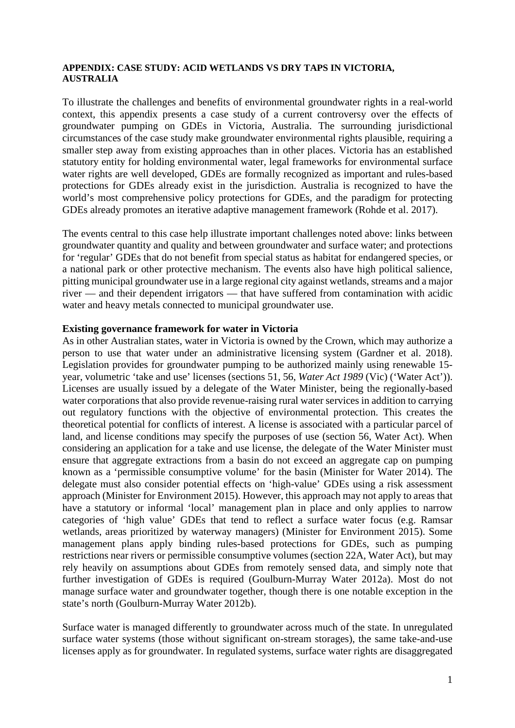# **APPENDIX: CASE STUDY: ACID WETLANDS VS DRY TAPS IN VICTORIA, AUSTRALIA**

To illustrate the challenges and benefits of environmental groundwater rights in a real-world context, this appendix presents a case study of a current controversy over the effects of groundwater pumping on GDEs in Victoria, Australia. The surrounding jurisdictional circumstances of the case study make groundwater environmental rights plausible, requiring a smaller step away from existing approaches than in other places. Victoria has an established statutory entity for holding environmental water, legal frameworks for environmental surface water rights are well developed, GDEs are formally recognized as important and rules-based protections for GDEs already exist in the jurisdiction. Australia is recognized to have the world's most comprehensive policy protections for GDEs, and the paradigm for protecting GDEs already promotes an iterative adaptive management framework (Rohde et al. 2017).

The events central to this case help illustrate important challenges noted above: links between groundwater quantity and quality and between groundwater and surface water; and protections for 'regular' GDEs that do not benefit from special status as habitat for endangered species, or a national park or other protective mechanism. The events also have high political salience, pitting municipal groundwater use in a large regional city against wetlands, streams and a major river — and their dependent irrigators — that have suffered from contamination with acidic water and heavy metals connected to municipal groundwater use.

# **Existing governance framework for water in Victoria**

As in other Australian states, water in Victoria is owned by the Crown, which may authorize a person to use that water under an administrative licensing system (Gardner et al. 2018). Legislation provides for groundwater pumping to be authorized mainly using renewable 15 year, volumetric 'take and use' licenses (sections 51, 56, *Water Act 1989* (Vic) ('Water Act')). Licenses are usually issued by a delegate of the Water Minister, being the regionally-based water corporations that also provide revenue-raising rural water services in addition to carrying out regulatory functions with the objective of environmental protection. This creates the theoretical potential for conflicts of interest. A license is associated with a particular parcel of land, and license conditions may specify the purposes of use (section 56, Water Act). When considering an application for a take and use license, the delegate of the Water Minister must ensure that aggregate extractions from a basin do not exceed an aggregate cap on pumping known as a 'permissible consumptive volume' for the basin (Minister for Water 2014). The delegate must also consider potential effects on 'high-value' GDEs using a risk assessment approach (Minister for Environment 2015). However, this approach may not apply to areas that have a statutory or informal 'local' management plan in place and only applies to narrow categories of 'high value' GDEs that tend to reflect a surface water focus (e.g. Ramsar wetlands, areas prioritized by waterway managers) (Minister for Environment 2015). Some management plans apply binding rules-based protections for GDEs, such as pumping restrictions near rivers or permissible consumptive volumes (section 22A, Water Act), but may rely heavily on assumptions about GDEs from remotely sensed data, and simply note that further investigation of GDEs is required (Goulburn-Murray Water 2012a). Most do not manage surface water and groundwater together, though there is one notable exception in the state's north (Goulburn-Murray Water 2012b).

Surface water is managed differently to groundwater across much of the state. In unregulated surface water systems (those without significant on-stream storages), the same take-and-use licenses apply as for groundwater. In regulated systems, surface water rights are disaggregated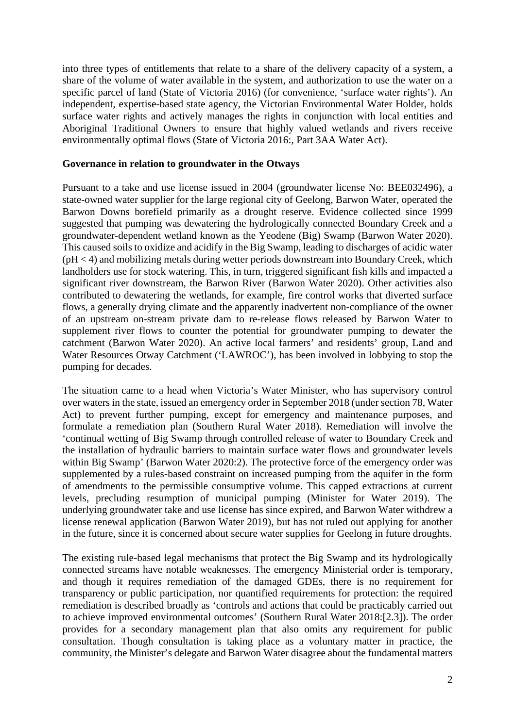into three types of entitlements that relate to a share of the delivery capacity of a system, a share of the volume of water available in the system, and authorization to use the water on a specific parcel of land (State of Victoria 2016) (for convenience, 'surface water rights'). An independent, expertise-based state agency, the Victorian Environmental Water Holder, holds surface water rights and actively manages the rights in conjunction with local entities and Aboriginal Traditional Owners to ensure that highly valued wetlands and rivers receive environmentally optimal flows (State of Victoria 2016:, Part 3AA Water Act).

# **Governance in relation to groundwater in the Otways**

Pursuant to a take and use license issued in 2004 (groundwater license No: BEE032496), a state-owned water supplier for the large regional city of Geelong, Barwon Water, operated the Barwon Downs borefield primarily as a drought reserve. Evidence collected since 1999 suggested that pumping was dewatering the hydrologically connected Boundary Creek and a groundwater-dependent wetland known as the Yeodene (Big) Swamp (Barwon Water 2020). This caused soils to oxidize and acidify in the Big Swamp, leading to discharges of acidic water (pH < 4) and mobilizing metals during wetter periods downstream into Boundary Creek, which landholders use for stock watering. This, in turn, triggered significant fish kills and impacted a significant river downstream, the Barwon River (Barwon Water 2020). Other activities also contributed to dewatering the wetlands, for example, fire control works that diverted surface flows, a generally drying climate and the apparently inadvertent non-compliance of the owner of an upstream on-stream private dam to re-release flows released by Barwon Water to supplement river flows to counter the potential for groundwater pumping to dewater the catchment (Barwon Water 2020). An active local farmers' and residents' group, Land and Water Resources Otway Catchment ('LAWROC'), has been involved in lobbying to stop the pumping for decades.

The situation came to a head when Victoria's Water Minister, who has supervisory control over waters in the state, issued an emergency order in September 2018 (under section 78, Water Act) to prevent further pumping, except for emergency and maintenance purposes, and formulate a remediation plan (Southern Rural Water 2018). Remediation will involve the 'continual wetting of Big Swamp through controlled release of water to Boundary Creek and the installation of hydraulic barriers to maintain surface water flows and groundwater levels within Big Swamp' (Barwon Water 2020:2). The protective force of the emergency order was supplemented by a rules-based constraint on increased pumping from the aquifer in the form of amendments to the permissible consumptive volume. This capped extractions at current levels, precluding resumption of municipal pumping (Minister for Water 2019). The underlying groundwater take and use license has since expired, and Barwon Water withdrew a license renewal application (Barwon Water 2019), but has not ruled out applying for another in the future, since it is concerned about secure water supplies for Geelong in future droughts.

The existing rule-based legal mechanisms that protect the Big Swamp and its hydrologically connected streams have notable weaknesses. The emergency Ministerial order is temporary, and though it requires remediation of the damaged GDEs, there is no requirement for transparency or public participation, nor quantified requirements for protection: the required remediation is described broadly as 'controls and actions that could be practicably carried out to achieve improved environmental outcomes' (Southern Rural Water 2018:[2.3]). The order provides for a secondary management plan that also omits any requirement for public consultation. Though consultation is taking place as a voluntary matter in practice, the community, the Minister's delegate and Barwon Water disagree about the fundamental matters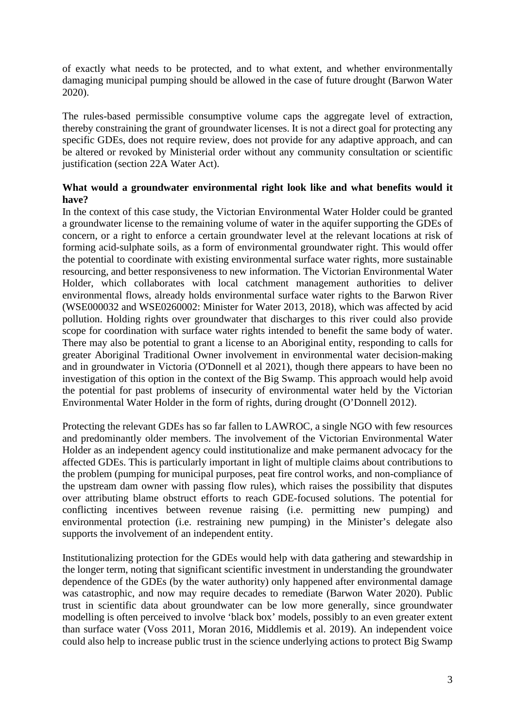of exactly what needs to be protected, and to what extent, and whether environmentally damaging municipal pumping should be allowed in the case of future drought (Barwon Water 2020).

The rules-based permissible consumptive volume caps the aggregate level of extraction, thereby constraining the grant of groundwater licenses. It is not a direct goal for protecting any specific GDEs, does not require review, does not provide for any adaptive approach, and can be altered or revoked by Ministerial order without any community consultation or scientific justification (section 22A Water Act).

# **What would a groundwater environmental right look like and what benefits would it have?**

In the context of this case study, the Victorian Environmental Water Holder could be granted a groundwater license to the remaining volume of water in the aquifer supporting the GDEs of concern, or a right to enforce a certain groundwater level at the relevant locations at risk of forming acid-sulphate soils, as a form of environmental groundwater right. This would offer the potential to coordinate with existing environmental surface water rights, more sustainable resourcing, and better responsiveness to new information. The Victorian Environmental Water Holder, which collaborates with local catchment management authorities to deliver environmental flows, already holds environmental surface water rights to the Barwon River (WSE000032 and WSE0260002: Minister for Water 2013, 2018), which was affected by acid pollution. Holding rights over groundwater that discharges to this river could also provide scope for coordination with surface water rights intended to benefit the same body of water. There may also be potential to grant a license to an Aboriginal entity, responding to calls for greater Aboriginal Traditional Owner involvement in environmental water decision-making and in groundwater in Victoria (O'Donnell et al 2021), though there appears to have been no investigation of this option in the context of the Big Swamp. This approach would help avoid the potential for past problems of insecurity of environmental water held by the Victorian Environmental Water Holder in the form of rights, during drought (O'Donnell 2012).

Protecting the relevant GDEs has so far fallen to LAWROC, a single NGO with few resources and predominantly older members. The involvement of the Victorian Environmental Water Holder as an independent agency could institutionalize and make permanent advocacy for the affected GDEs. This is particularly important in light of multiple claims about contributions to the problem (pumping for municipal purposes, peat fire control works, and non-compliance of the upstream dam owner with passing flow rules), which raises the possibility that disputes over attributing blame obstruct efforts to reach GDE-focused solutions. The potential for conflicting incentives between revenue raising (i.e. permitting new pumping) and environmental protection (i.e. restraining new pumping) in the Minister's delegate also supports the involvement of an independent entity.

Institutionalizing protection for the GDEs would help with data gathering and stewardship in the longer term, noting that significant scientific investment in understanding the groundwater dependence of the GDEs (by the water authority) only happened after environmental damage was catastrophic, and now may require decades to remediate (Barwon Water 2020). Public trust in scientific data about groundwater can be low more generally, since groundwater modelling is often perceived to involve 'black box' models, possibly to an even greater extent than surface water (Voss 2011, Moran 2016, Middlemis et al. 2019). An independent voice could also help to increase public trust in the science underlying actions to protect Big Swamp